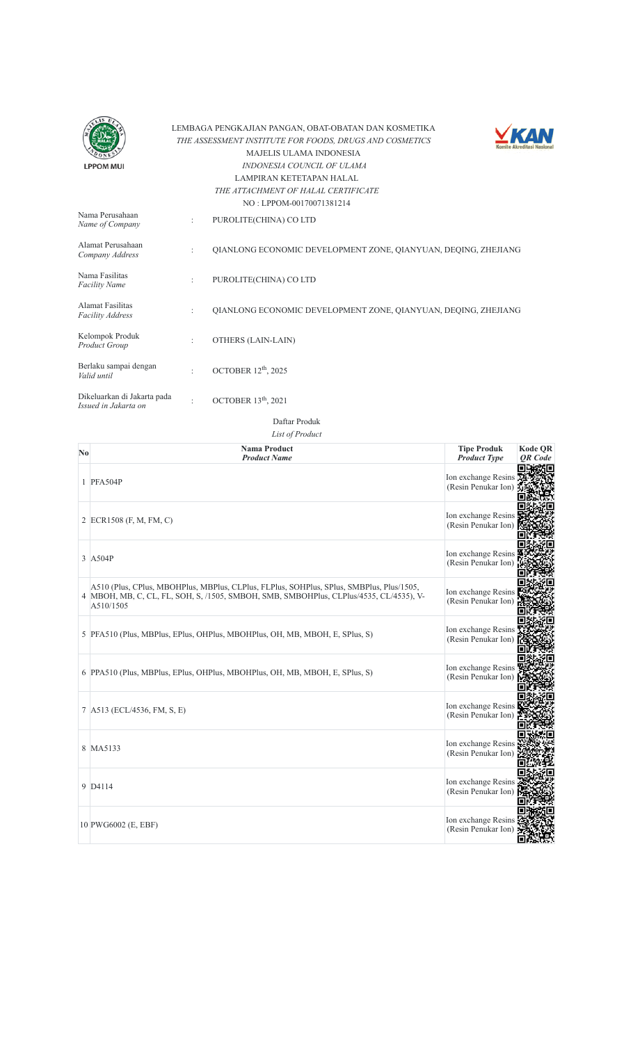



| Nama Perusahaan<br>Name of Company                  |                      | PUROLITE(CHINA) CO LTD                                         |
|-----------------------------------------------------|----------------------|----------------------------------------------------------------|
| Alamat Perusahaan<br>Company Address                | $\ddot{\phantom{a}}$ | QIANLONG ECONOMIC DEVELOPMENT ZONE, QIANYUAN, DEQING, ZHEJIANG |
| Nama Fasilitas<br><b>Facility Name</b>              | $\ddot{\phantom{a}}$ | PUROLITE(CHINA) CO LTD                                         |
| Alamat Fasilitas<br><b>Facility Address</b>         | $\ddot{\phantom{a}}$ | OIANLONG ECONOMIC DEVELOPMENT ZONE, OIANYUAN, DEOING, ZHEJIANG |
| Kelompok Produk<br>Product Group                    |                      | OTHERS (LAIN-LAIN)                                             |
| Berlaku sampai dengan<br>Valid until                | $\ddot{\cdot}$       | OCTOBER 12 <sup>th</sup> , 2025                                |
| Dikeluarkan di Jakarta pada<br>Issued in Jakarta on |                      | OCTOBER 13 <sup>th</sup> , 2021                                |

| No | <b>Nama Product</b>                                                                                                                                                                             | <b>Tipe Produk</b>                         | <b>Kode OR</b> |
|----|-------------------------------------------------------------------------------------------------------------------------------------------------------------------------------------------------|--------------------------------------------|----------------|
|    | <b>Product Name</b>                                                                                                                                                                             | <b>Product Type</b>                        | <b>OR</b> Code |
|    | 1 PFA504P                                                                                                                                                                                       | Ion exchange Resins<br>(Resin Penukar Ion) |                |
|    | 2 ECR1508 (F, M, FM, C)                                                                                                                                                                         | Ion exchange Resins<br>(Resin Penukar Ion) |                |
|    | 3 A504P                                                                                                                                                                                         | Ion exchange Resins<br>(Resin Penukar Ion) |                |
|    | A510 (Plus, CPlus, MBOHPlus, MBPlus, CLPlus, FLPlus, SOHPlus, SPlus, SMBPlus, Plus/1505,<br>4 MBOH, MB, C, CL, FL, SOH, S, /1505, SMBOH, SMB, SMBOHPlus, CLPlus/4535, CL/4535), V-<br>A510/1505 | Ion exchange Resins<br>(Resin Penukar Ion) |                |
|    | 5  PFA510 (Plus, MBPlus, EPlus, OHPlus, MBOHPlus, OH, MB, MBOH, E, SPlus, S)                                                                                                                    | Ion exchange Resins<br>(Resin Penukar Ion) |                |
|    | 6 PPA510 (Plus, MBPlus, EPlus, OHPlus, MBOHPlus, OH, MB, MBOH, E, SPlus, S)                                                                                                                     | Ion exchange Resins<br>(Resin Penukar Ion) |                |
|    | 7 A513 (ECL/4536, FM, S, E)                                                                                                                                                                     | Ion exchange Resins<br>(Resin Penukar Ion) |                |
|    | 8 MA5133                                                                                                                                                                                        | Ion exchange Resins<br>(Resin Penukar Ion) |                |
|    | 9 D4114                                                                                                                                                                                         | Ion exchange Resins<br>(Resin Penukar Ion) |                |
|    | 10 PWG6002 (E, EBF)                                                                                                                                                                             | Ion exchange Resins<br>(Resin Penukar Ion) |                |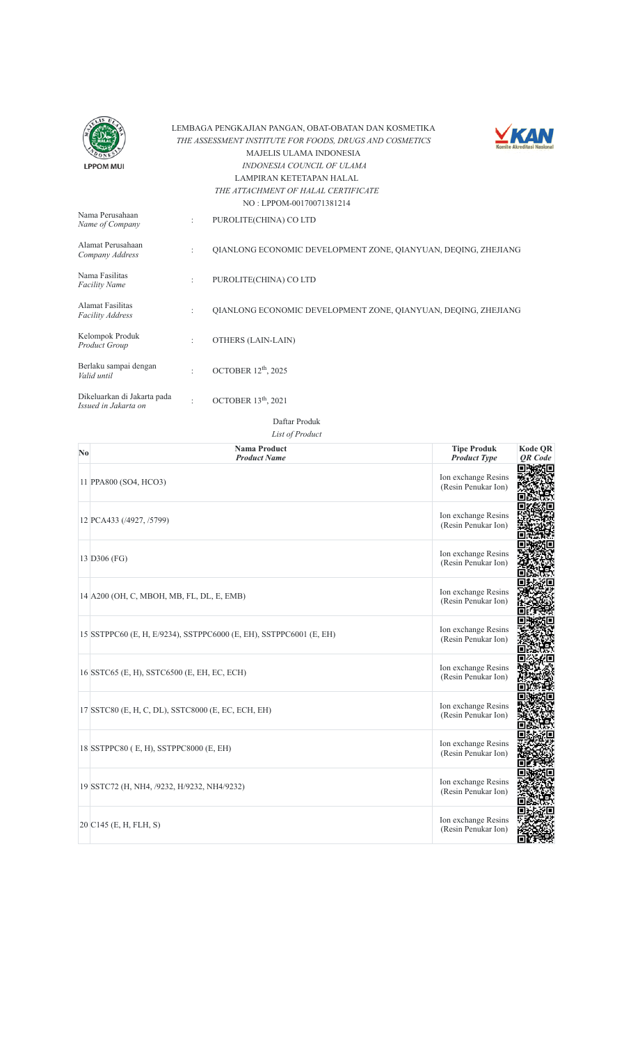



|                                                     |                      | 110.111011700170071301217                                      |
|-----------------------------------------------------|----------------------|----------------------------------------------------------------|
| Nama Perusahaan<br>Name of Company                  | ÷                    | PUROLITE(CHINA) CO LTD                                         |
| Alamat Perusahaan<br>Company Address                | $\ddot{\phantom{a}}$ | OIANLONG ECONOMIC DEVELOPMENT ZONE, OIANYUAN, DEOING, ZHEJIANG |
| Nama Fasilitas<br><b>Facility Name</b>              | ÷                    | PUROLITE(CHINA) CO LTD                                         |
| Alamat Fasilitas<br><b>Facility Address</b>         | $\ddot{\phantom{a}}$ | OIANLONG ECONOMIC DEVELOPMENT ZONE, OIANYUAN, DEOING, ZHEJIANG |
| Kelompok Produk<br>Product Group                    | ÷                    | OTHERS (LAIN-LAIN)                                             |
| Berlaku sampai dengan<br>Valid until                | $\bullet$            | OCTOBER 12 <sup>th</sup> , 2025                                |
| Dikeluarkan di Jakarta pada<br>Issued in Jakarta on | ٠                    | OCTOBER 13 <sup>th</sup> , 2021                                |

| $\mathbf{N}\mathbf{0}$ | <b>Nama Product</b><br><b>Product Name</b>                         | <b>Tipe Produk</b><br><b>Product Type</b>  | <b>Kode QR</b><br><b>OR</b> Code |
|------------------------|--------------------------------------------------------------------|--------------------------------------------|----------------------------------|
|                        | 11 PPA800 (SO4, HCO3)                                              | Ion exchange Resins<br>(Resin Penukar Ion) |                                  |
|                        | 12 PCA433 (/4927, /5799)                                           | Ion exchange Resins<br>(Resin Penukar Ion) |                                  |
|                        | 13 D306 (FG)                                                       | Ion exchange Resins<br>(Resin Penukar Ion) |                                  |
|                        | 14 A200 (OH, C, MBOH, MB, FL, DL, E, EMB)                          | Ion exchange Resins<br>(Resin Penukar Ion) |                                  |
|                        | 15 SSTPPC60 (E, H, E/9234), SSTPPC6000 (E, EH), SSTPPC6001 (E, EH) | Ion exchange Resins<br>(Resin Penukar Ion) |                                  |
|                        | 16 SSTC65 (E, H), SSTC6500 (E, EH, EC, ECH)                        | Ion exchange Resins<br>(Resin Penukar Ion) |                                  |
|                        | 17 SSTC80 (E, H, C, DL), SSTC8000 (E, EC, ECH, EH)                 | Ion exchange Resins<br>(Resin Penukar Ion) |                                  |
|                        | 18 SSTPPC80 (E, H), SSTPPC8000 (E, EH)                             | Ion exchange Resins<br>(Resin Penukar Ion) |                                  |
|                        | 19 SSTC72 (H, NH4, /9232, H/9232, NH4/9232)                        | Ion exchange Resins<br>(Resin Penukar Ion) |                                  |
|                        | 20 C145 (E, H, FLH, S)                                             | Ion exchange Resins<br>(Resin Penukar Ion) |                                  |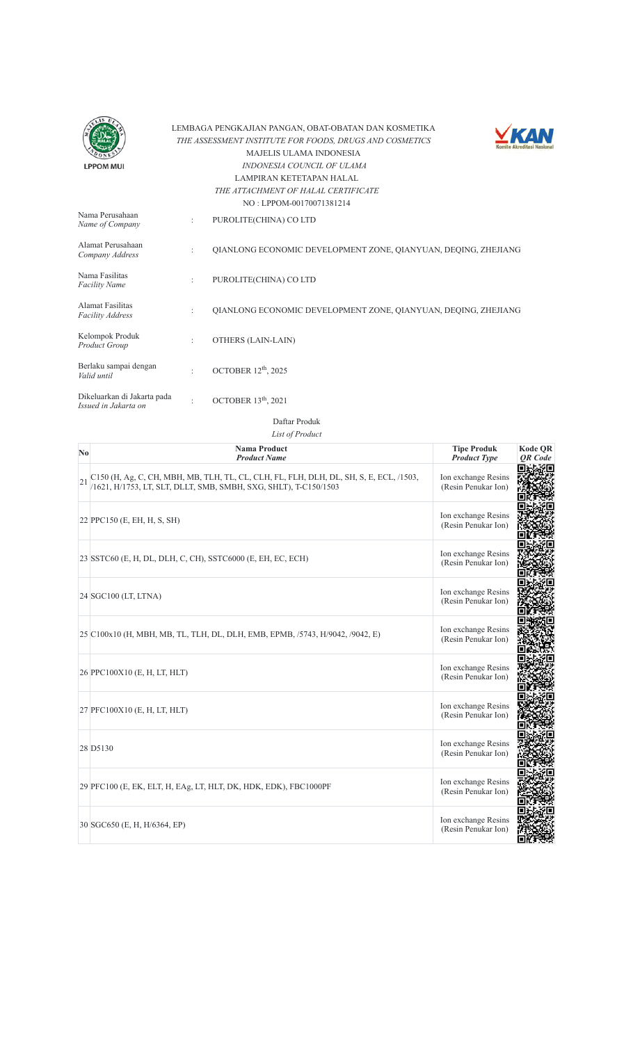



| Nama Perusahaan<br>Name of Company                  | $\ddot{\phantom{a}}$ | PUROLITE(CHINA) CO LTD                                         |
|-----------------------------------------------------|----------------------|----------------------------------------------------------------|
| Alamat Perusahaan<br>Company Address                | $\ddot{\phantom{a}}$ | QIANLONG ECONOMIC DEVELOPMENT ZONE, QIANYUAN, DEQING, ZHEJIANG |
| Nama Fasilitas<br><b>Facility Name</b>              | $\ddot{\phantom{a}}$ | PUROLITE(CHINA) CO LTD                                         |
| <b>Alamat Fasilitas</b><br><b>Facility Address</b>  | $\ddot{\phantom{a}}$ | OIANLONG ECONOMIC DEVELOPMENT ZONE, OIANYUAN, DEOING, ZHEJIANG |
| Kelompok Produk<br>Product Group                    | $\ddot{\phantom{a}}$ | OTHERS (LAIN-LAIN)                                             |
| Berlaku sampai dengan<br>Valid until                | $\ddot{\phantom{a}}$ | OCTOBER 12 <sup>th</sup> , 2025                                |
| Dikeluarkan di Jakarta pada<br>Issued in Jakarta on |                      | OCTOBER $13th$ , 2021                                          |

Daftar Produk

| N <sub>0</sub> | <b>Nama Product</b><br><b>Product Name</b>                                                                                                                 | <b>Tipe Produk</b><br><b>Product Type</b>  | <b>Kode QR</b><br><b>OR</b> Code |
|----------------|------------------------------------------------------------------------------------------------------------------------------------------------------------|--------------------------------------------|----------------------------------|
| 21             | C150 (H, Ag, C, CH, MBH, MB, TLH, TL, CL, CLH, FL, FLH, DLH, DL, SH, S, E, ECL, /1503,<br>/1621, H/1753, LT, SLT, DLLT, SMB, SMBH, SXG, SHLT), T-C150/1503 | Ion exchange Resins<br>(Resin Penukar Ion) |                                  |
|                | 22 PPC150 (E, EH, H, S, SH)                                                                                                                                | Ion exchange Resins<br>(Resin Penukar Ion) |                                  |
|                | 23 SSTC60 (E, H, DL, DLH, C, CH), SSTC6000 (E, EH, EC, ECH)                                                                                                | Ion exchange Resins<br>(Resin Penukar Ion) |                                  |
|                | 24 SGC100 (LT, LTNA)                                                                                                                                       | Ion exchange Resins<br>(Resin Penukar Ion) |                                  |
|                | 25 C100x10 (H, MBH, MB, TL, TLH, DL, DLH, EMB, EPMB, /5743, H/9042, /9042, E)                                                                              | Ion exchange Resins<br>(Resin Penukar Ion) |                                  |
|                | 26 PPC100X10 (E, H, LT, HLT)                                                                                                                               | Ion exchange Resins<br>(Resin Penukar Ion) |                                  |
|                | 27 PFC100X10 (E, H, LT, HLT)                                                                                                                               | Ion exchange Resins<br>(Resin Penukar Ion) |                                  |
|                | 28 D5130                                                                                                                                                   | Ion exchange Resins<br>(Resin Penukar Ion) |                                  |
|                | 29 PFC100 (E, EK, ELT, H, EAg, LT, HLT, DK, HDK, EDK), FBC1000PF                                                                                           | Ion exchange Resins<br>(Resin Penukar Ion) |                                  |
|                | 30 SGC650 (E, H, H/6364, EP)                                                                                                                               | Ion exchange Resins<br>(Resin Penukar Ion) |                                  |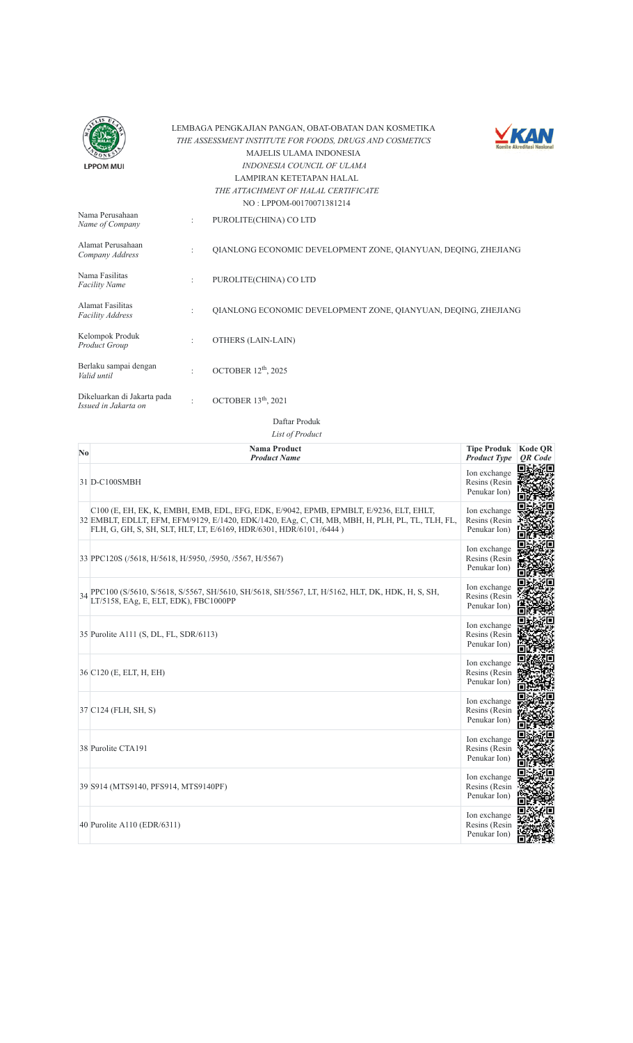| LPPOM MUI |
|-----------|



| Nama Perusahaan<br>Name of Company                  | ÷                    | PUROLITE(CHINA) CO LTD                                         |
|-----------------------------------------------------|----------------------|----------------------------------------------------------------|
| Alamat Perusahaan<br>Company Address                | ٠                    | OIANLONG ECONOMIC DEVELOPMENT ZONE, OIANYUAN, DEOING, ZHEJIANG |
| Nama Fasilitas<br><b>Facility Name</b>              | ÷                    | PUROLITE(CHINA) CO LTD                                         |
| Alamat Fasilitas<br><b>Facility Address</b>         | $\ddot{\phantom{a}}$ | OIANLONG ECONOMIC DEVELOPMENT ZONE, OIANYUAN, DEOING, ZHEJIANG |
| Kelompok Produk<br>Product Group                    |                      | OTHERS (LAIN-LAIN)                                             |
| Berlaku sampai dengan<br>Valid until                |                      | OCTOBER $12th$ , 2025                                          |
| Dikeluarkan di Jakarta pada<br>Issued in Jakarta on |                      | OCTOBER $13th$ , 2021                                          |

Daftar Produk

| $\mathbf{N}\mathbf{0}$ | <b>Nama Product</b><br><b>Product Name</b>                                                                                                                                                                                                                       | <b>Tipe Produk</b><br><b>Product Type</b>     | <b>Kode QR</b><br><b>OR</b> Code |
|------------------------|------------------------------------------------------------------------------------------------------------------------------------------------------------------------------------------------------------------------------------------------------------------|-----------------------------------------------|----------------------------------|
|                        | 31 D-C100SMBH                                                                                                                                                                                                                                                    | Ion exchange<br>Resins (Resin<br>Penukar Ion) |                                  |
|                        | C100 (E, EH, EK, K, EMBH, EMB, EDL, EFG, EDK, E/9042, EPMB, EPMBLT, E/9236, ELT, EHLT,<br>32 EMBLT, EDLLT, EFM, EFM/9129, E/1420, EDK/1420, EAg, C, CH, MB, MBH, H, PLH, PL, TL, TLH, FL,<br>FLH, G, GH, S, SH, SLT, HLT, LT, E/6169, HDR/6301, HDR/6101, /6444) | Ion exchange<br>Resins (Resin<br>Penukar Ion) |                                  |
|                        | 33 PPC120S (/5618, H/5618, H/5950, /5950, /5567, H/5567)                                                                                                                                                                                                         | Ion exchange<br>Resins (Resin<br>Penukar Ion) |                                  |
| 34                     | PPC100 (S/5610, S/5618, S/5567, SH/5610, SH/5618, SH/5567, LT, H/5162, HLT, DK, HDK, H, S, SH,<br>LT/5158, EAg, E, ELT, EDK), FBC1000PP                                                                                                                          | Ion exchange<br>Resins (Resin<br>Penukar Ion) |                                  |
|                        | 35 Purolite A111 (S, DL, FL, SDR/6113)                                                                                                                                                                                                                           | Ion exchange<br>Resins (Resin<br>Penukar Ion) |                                  |
|                        | 36 C120 (E, ELT, H, EH)                                                                                                                                                                                                                                          | Ion exchange<br>Resins (Resin<br>Penukar Ion) |                                  |
|                        | 37 C124 (FLH, SH, S)                                                                                                                                                                                                                                             | Ion exchange<br>Resins (Resin<br>Penukar Ion) |                                  |
|                        | 38 Purolite CTA191                                                                                                                                                                                                                                               | Ion exchange<br>Resins (Resin<br>Penukar Ion) |                                  |
|                        | 39 S914 (MTS9140, PFS914, MTS9140PF)                                                                                                                                                                                                                             | Ion exchange<br>Resins (Resin<br>Penukar Ion) |                                  |
|                        | 40 Purolite A110 (EDR/6311)                                                                                                                                                                                                                                      | Ion exchange<br>Resins (Resin<br>Penukar Ion) |                                  |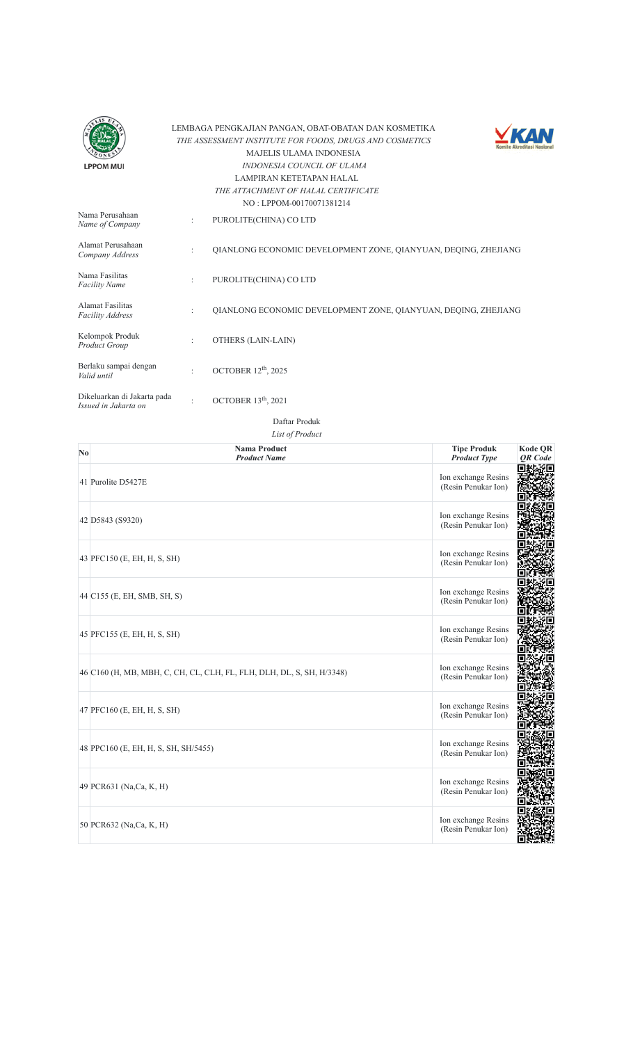



| Nama Perusahaan<br>Name of Company                  |                      | PUROLITE(CHINA) CO LTD                                         |
|-----------------------------------------------------|----------------------|----------------------------------------------------------------|
| Alamat Perusahaan<br>Company Address                | $\ddot{\phantom{a}}$ | OIANLONG ECONOMIC DEVELOPMENT ZONE, OIANYUAN, DEOING, ZHEJIANG |
| Nama Fasilitas<br><b>Facility Name</b>              | $\ddot{\phantom{a}}$ | PUROLITE(CHINA) CO LTD                                         |
| <b>Alamat Fasilitas</b><br><b>Facility Address</b>  | $\ddot{\phantom{a}}$ | OIANLONG ECONOMIC DEVELOPMENT ZONE, OIANYUAN, DEOING, ZHEJIANG |
| Kelompok Produk<br>Product Group                    | $\ddot{\cdot}$       | OTHERS (LAIN-LAIN)                                             |
| Berlaku sampai dengan<br>Valid until                | $\bullet$            | OCTOBER $12th$ , 2025                                          |
| Dikeluarkan di Jakarta pada<br>Issued in Jakarta on | $\bullet$            | OCTOBER 13 <sup>th</sup> , 2021                                |

| No | <b>Nama Product</b><br><b>Product Name</b>                            | <b>Tipe Produk</b><br><b>Product Type</b>  | Kode QR<br><b>OR</b> Code |
|----|-----------------------------------------------------------------------|--------------------------------------------|---------------------------|
|    | 41 Purolite D5427E                                                    | Ion exchange Resins<br>(Resin Penukar Ion) |                           |
|    | 42 D5843 (S9320)                                                      | Ion exchange Resins<br>(Resin Penukar Ion) |                           |
|    | 43 PFC150 (E, EH, H, S, SH)                                           | Ion exchange Resins<br>(Resin Penukar Ion) |                           |
|    | 44 C155 (E, EH, SMB, SH, S)                                           | Ion exchange Resins<br>(Resin Penukar Ion) |                           |
|    | 45 PFC155 (E, EH, H, S, SH)                                           | Ion exchange Resins<br>(Resin Penukar Ion) |                           |
|    | 46 C160 (H, MB, MBH, C, CH, CL, CLH, FL, FLH, DLH, DL, S, SH, H/3348) | Ion exchange Resins<br>(Resin Penukar Ion) |                           |
|    | 47 PFC160 (E, EH, H, S, SH)                                           | Ion exchange Resins<br>(Resin Penukar Ion) |                           |
|    | 48 PPC160 (E, EH, H, S, SH, SH/5455)                                  | Ion exchange Resins<br>(Resin Penukar Ion) |                           |
|    | 49 PCR631 (Na,Ca, K, H)                                               | Ion exchange Resins<br>(Resin Penukar Ion) |                           |
|    | 50 PCR632 (Na,Ca, K, H)                                               | Ion exchange Resins<br>(Resin Penukar Ion) |                           |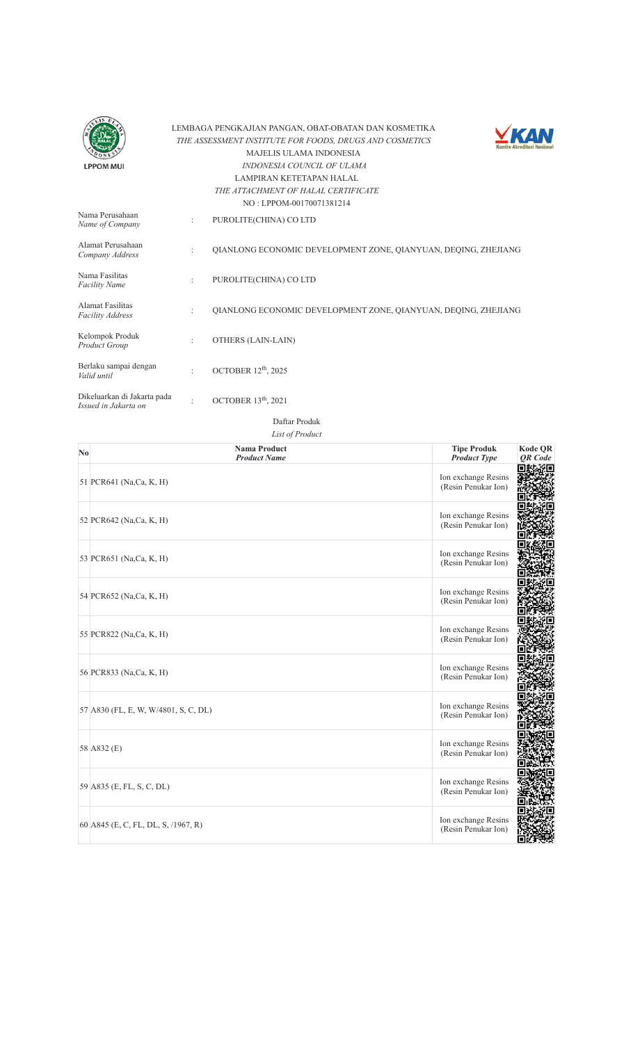



|                                                     |                | $110.1$ $111.01$ $100.100$                                     |
|-----------------------------------------------------|----------------|----------------------------------------------------------------|
| Nama Perusahaan<br>Name of Company                  | ÷              | PUROLITE(CHINA) CO LTD                                         |
| Alamat Perusahaan<br>Company Address                | ÷              | OIANLONG ECONOMIC DEVELOPMENT ZONE, OIANYUAN, DEOING, ZHEJIANG |
| Nama Fasilitas<br><b>Facility Name</b>              | $\ddot{\cdot}$ | PUROLITE(CHINA) CO LTD                                         |
| Alamat Fasilitas<br><b>Facility Address</b>         | ÷              | OIANLONG ECONOMIC DEVELOPMENT ZONE, OIANYUAN, DEOING, ZHEJIANG |
| Kelompok Produk<br>Product Group                    | ÷              | OTHERS (LAIN-LAIN)                                             |
| Berlaku sampai dengan<br>Valid until                | $\bullet$      | OCTOBER 12 <sup>th</sup> , 2025                                |
| Dikeluarkan di Jakarta pada<br>Issued in Jakarta on | ٠              | OCTOBER $13th$ , 2021                                          |

| No | <b>Nama Product</b><br><b>Product Name</b> | <b>Tipe Produk</b><br><b>Product Type</b>  | <b>Kode QR</b><br><b>OR</b> Code |
|----|--------------------------------------------|--------------------------------------------|----------------------------------|
|    | 51 PCR641 (Na,Ca, K, H)                    | Ion exchange Resins<br>(Resin Penukar Ion) | ŷП                               |
|    | 52 PCR642 (Na,Ca, K, H)                    | Ion exchange Resins<br>(Resin Penukar Ion) |                                  |
|    | 53 PCR651 (Na,Ca, K, H)                    | Ion exchange Resins<br>(Resin Penukar Ion) |                                  |
|    | 54 PCR652 (Na,Ca, K, H)                    | Ion exchange Resins<br>(Resin Penukar Ion) |                                  |
|    | 55 PCR822 (Na,Ca, K, H)                    | Ion exchange Resins<br>(Resin Penukar Ion) |                                  |
|    | 56 PCR833 (Na,Ca, K, H)                    | Ion exchange Resins<br>(Resin Penukar Ion) |                                  |
|    | 57 A830 (FL, E, W, W/4801, S, C, DL)       | Ion exchange Resins<br>(Resin Penukar Ion) |                                  |
|    | 58 A832 (E)                                | Ion exchange Resins<br>(Resin Penukar Ion) |                                  |
|    | 59 A835 (E, FL, S, C, DL)                  | Ion exchange Resins<br>(Resin Penukar Ion) |                                  |
|    | 60 A845 (E, C, FL, DL, S, /1967, R)        | Ion exchange Resins<br>(Resin Penukar Ion) |                                  |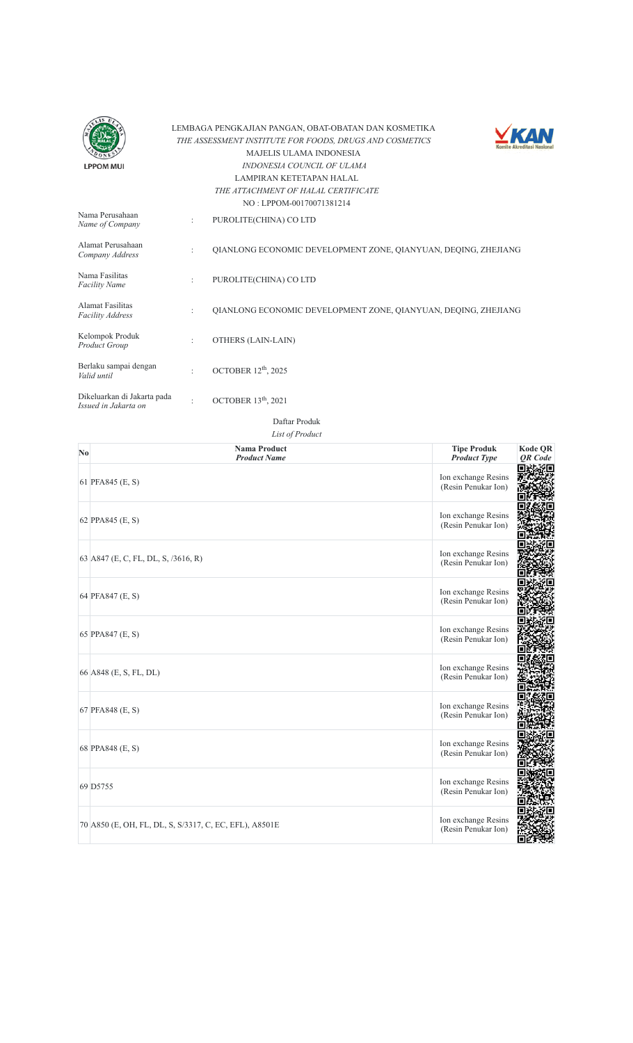



|                                                     |                      | 110.111011100110011301217                                      |
|-----------------------------------------------------|----------------------|----------------------------------------------------------------|
| Nama Perusahaan<br>Name of Company                  | ÷                    | PUROLITE(CHINA) CO LTD                                         |
| Alamat Perusahaan<br>Company Address                | $\ddot{\phantom{a}}$ | OIANLONG ECONOMIC DEVELOPMENT ZONE, OIANYUAN, DEOING, ZHEJIANG |
| Nama Fasilitas<br><b>Facility Name</b>              | $\ddot{\cdot}$       | PUROLITE(CHINA) CO LTD                                         |
| Alamat Fasilitas<br><b>Facility Address</b>         | ÷                    | OIANLONG ECONOMIC DEVELOPMENT ZONE, OIANYUAN, DEOING, ZHEJIANG |
| Kelompok Produk<br>Product Group                    | ÷                    | OTHERS (LAIN-LAIN)                                             |
| Berlaku sampai dengan<br>Valid until                | $\bullet$            | OCTOBER 12 <sup>th</sup> , 2025                                |
| Dikeluarkan di Jakarta pada<br>Issued in Jakarta on | ٠                    | OCTOBER $13th$ , 2021                                          |

| N <sub>0</sub> | <b>Nama Product</b><br><b>Product Name</b>             | <b>Tipe Produk</b><br><b>Product Type</b>  | <b>Kode QR</b><br>QR Code |
|----------------|--------------------------------------------------------|--------------------------------------------|---------------------------|
|                | 61 PFA845 (E, S)                                       | Ion exchange Resins<br>(Resin Penukar Ion) | ۶Q                        |
|                | 62 PPA845 (E, S)                                       | Ion exchange Resins<br>(Resin Penukar Ion) |                           |
|                | 63 A847 (E, C, FL, DL, S, /3616, R)                    | Ion exchange Resins<br>(Resin Penukar Ion) |                           |
|                | 64 PFA847 (E, S)                                       | Ion exchange Resins<br>(Resin Penukar Ion) |                           |
|                | 65 PPA847 (E, S)                                       | Ion exchange Resins<br>(Resin Penukar Ion) |                           |
|                | 66 A848 (E, S, FL, DL)                                 | Ion exchange Resins<br>(Resin Penukar Ion) |                           |
|                | 67 PFA848 (E, S)                                       | Ion exchange Resins<br>(Resin Penukar Ion) |                           |
|                | 68 PPA848 (E, S)                                       | Ion exchange Resins<br>(Resin Penukar Ion) |                           |
|                | 69 D5755                                               | Ion exchange Resins<br>(Resin Penukar Ion) |                           |
|                | 70 A850 (E, OH, FL, DL, S, S/3317, C, EC, EFL), A8501E | Ion exchange Resins<br>(Resin Penukar Ion) |                           |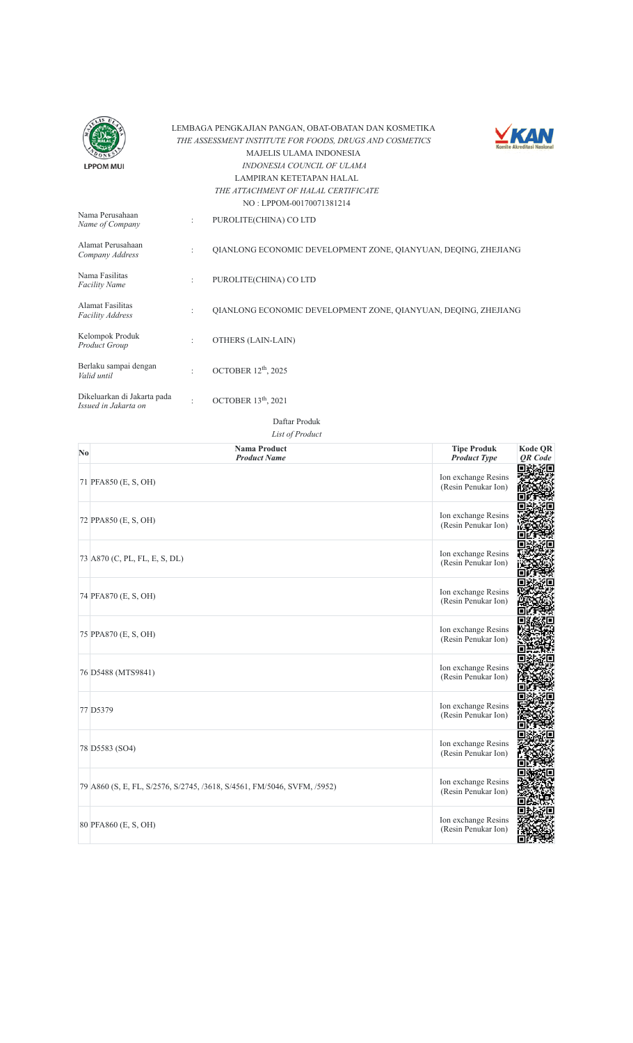



| Nama Perusahaan<br>Name of Company                  | $\ddot{\phantom{a}}$ | PUROLITE(CHINA) CO LTD                                         |
|-----------------------------------------------------|----------------------|----------------------------------------------------------------|
| Alamat Perusahaan<br>Company Address                | $\ddot{\phantom{a}}$ | OIANLONG ECONOMIC DEVELOPMENT ZONE, OIANYUAN, DEOING, ZHEJIANG |
| Nama Fasilitas<br><b>Facility Name</b>              | $\ddot{\cdot}$       | PUROLITE(CHINA) CO LTD                                         |
| Alamat Fasilitas<br><b>Facility Address</b>         | ÷                    | OIANLONG ECONOMIC DEVELOPMENT ZONE, OIANYUAN, DEOING, ZHEJIANG |
| Kelompok Produk<br>Product Group                    | ÷                    | OTHERS (LAIN-LAIN)                                             |
| Berlaku sampai dengan<br>Valid until                | $\bullet$            | OCTOBER 12 <sup>th</sup> , 2025                                |
| Dikeluarkan di Jakarta pada<br>Issued in Jakarta on | ٠                    | OCTOBER 13 <sup>th</sup> , 2021                                |

| $\mathbf{N}\mathbf{0}$ | <b>Nama Product</b><br><b>Product Name</b>                              | <b>Tipe Produk</b><br><b>Product Type</b>  | Kode QR<br>QR Code |
|------------------------|-------------------------------------------------------------------------|--------------------------------------------|--------------------|
|                        | 71 PFA850 (E, S, OH)                                                    | Ion exchange Resins<br>(Resin Penukar Ion) |                    |
|                        | 72 PPA850 (E, S, OH)                                                    | Ion exchange Resins<br>(Resin Penukar Ion) |                    |
|                        | 73 A870 (C, PL, FL, E, S, DL)                                           | Ion exchange Resins<br>(Resin Penukar Ion) |                    |
|                        | 74 PFA870 (E, S, OH)                                                    | Ion exchange Resins<br>(Resin Penukar Ion) |                    |
|                        | 75 PPA870 (E, S, OH)                                                    | Ion exchange Resins<br>(Resin Penukar Ion) |                    |
|                        | 76 D5488 (MTS9841)                                                      | Ion exchange Resins<br>(Resin Penukar Ion) |                    |
|                        | 77 D5379                                                                | Ion exchange Resins<br>(Resin Penukar Ion) |                    |
|                        | 78 D5583 (SO4)                                                          | Ion exchange Resins<br>(Resin Penukar Ion) |                    |
|                        | 79 A860 (S, E, FL, S/2576, S/2745, /3618, S/4561, FM/5046, SVFM, /5952) | Ion exchange Resins<br>(Resin Penukar Ion) |                    |
|                        | 80 PFA860 (E, S, OH)                                                    | Ion exchange Resins<br>(Resin Penukar Ion) |                    |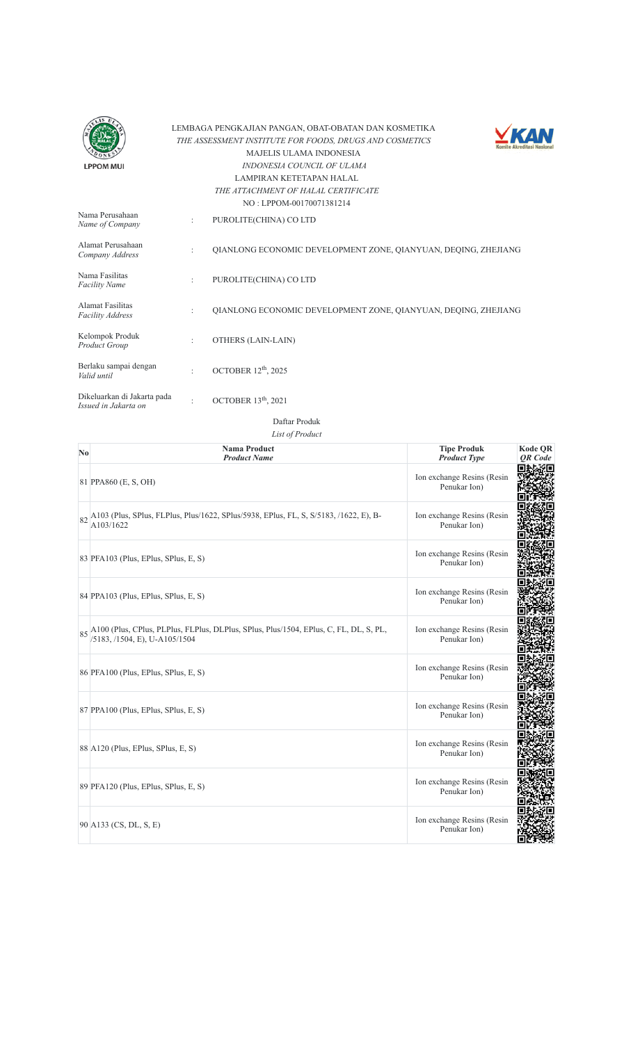



|                                                     |                      | NU : LPPUNEMI /MU/1381414                                      |
|-----------------------------------------------------|----------------------|----------------------------------------------------------------|
| Nama Perusahaan<br>Name of Company                  | ÷                    | PUROLITE(CHINA) CO LTD                                         |
| Alamat Perusahaan<br>Company Address                | $\ddot{\phantom{a}}$ | OIANLONG ECONOMIC DEVELOPMENT ZONE, OIANYUAN, DEOING, ZHEJIANG |
| Nama Fasilitas<br><b>Facility Name</b>              | $\ddot{\phantom{a}}$ | PUROLITE(CHINA) CO LTD                                         |
| Alamat Fasilitas<br><b>Facility Address</b>         | ÷                    | QIANLONG ECONOMIC DEVELOPMENT ZONE, QIANYUAN, DEQING, ZHEJIANG |
| Kelompok Produk<br>Product Group                    | $\ddot{\phantom{a}}$ | OTHERS (LAIN-LAIN)                                             |
| Berlaku sampai dengan<br>Valid until                | $\ddot{\cdot}$       | OCTOBER $12th$ , 2025                                          |
| Dikeluarkan di Jakarta pada<br>Issued in Jakarta on |                      | OCTOBER 13 <sup>th</sup> , 2021                                |

Daftar Produk

| N <sub>0</sub> | <b>Nama Product</b><br><b>Product Name</b>                                                                                | <b>Tipe Produk</b><br><b>Product Type</b>  | <b>Kode OR</b><br><b>OR</b> Code |
|----------------|---------------------------------------------------------------------------------------------------------------------------|--------------------------------------------|----------------------------------|
|                | 81 PPA860 (E, S, OH)                                                                                                      | Ion exchange Resins (Resin<br>Penukar Ion) |                                  |
|                | 82 A103 (Plus, SPlus, FLPlus, Plus/1622, SPlus/5938, EPlus, FL, S, S/5183, /1622, E), B-<br>A103/1622                     | Ion exchange Resins (Resin<br>Penukar Ion) |                                  |
|                | 83 PFA103 (Plus, EPlus, SPlus, E, S)                                                                                      | Ion exchange Resins (Resin<br>Penukar Ion) |                                  |
|                | 84 PPA103 (Plus, EPlus, SPlus, E, S)                                                                                      | Ion exchange Resins (Resin<br>Penukar Ion) |                                  |
|                | 85 A100 (Plus, CPlus, PLPlus, FLPlus, DLPlus, SPlus, Plus/1504, EPlus, C, FL, DL, S, PL,<br>/5183, /1504, E), U-A105/1504 | Ion exchange Resins (Resin<br>Penukar Ion) |                                  |
|                | 86 PFA100 (Plus, EPlus, SPlus, E, S)                                                                                      | Ion exchange Resins (Resin<br>Penukar Ion) |                                  |
|                | 87 PPA100 (Plus, EPlus, SPlus, E, S)                                                                                      | Ion exchange Resins (Resin<br>Penukar Ion) |                                  |
|                | 88 A120 (Plus, EPlus, SPlus, E, S)                                                                                        | Ion exchange Resins (Resin<br>Penukar Ion) |                                  |
|                | 89 PFA120 (Plus, EPlus, SPlus, E, S)                                                                                      | Ion exchange Resins (Resin<br>Penukar Ion) |                                  |
|                | 90 A133 (CS, DL, S, E)                                                                                                    | Ion exchange Resins (Resin<br>Penukar Ion) |                                  |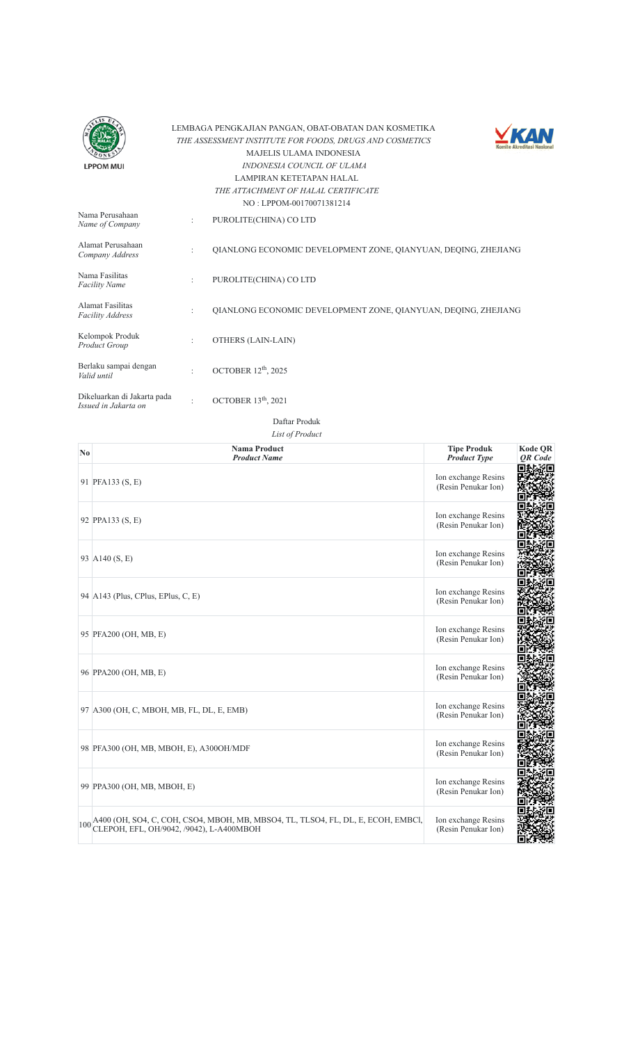



|                                                     |                      | $NQ$ : LPPONE(R) [70071.581214]                                |
|-----------------------------------------------------|----------------------|----------------------------------------------------------------|
| Nama Perusahaan<br>Name of Company                  | ÷                    | PUROLITE(CHINA) CO LTD                                         |
| Alamat Perusahaan<br>Company Address                | $\ddot{\phantom{a}}$ | OIANLONG ECONOMIC DEVELOPMENT ZONE, OIANYUAN, DEOING, ZHEJIANG |
| Nama Fasilitas<br><b>Facility Name</b>              | ÷                    | PUROLITE(CHINA) CO LTD                                         |
| Alamat Fasilitas<br><b>Facility Address</b>         | $\ddot{\phantom{a}}$ | OIANLONG ECONOMIC DEVELOPMENT ZONE, OIANYUAN, DEOING, ZHEJIANG |
| Kelompok Produk<br>Product Group                    | ÷                    | OTHERS (LAIN-LAIN)                                             |
| Berlaku sampai dengan<br>Valid until                | $\ddot{\cdot}$       | OCTOBER $12th$ , 2025                                          |
| Dikeluarkan di Jakarta pada<br>Issued in Jakarta on |                      | OCTOBER 13 <sup>th</sup> , 2021                                |

| $\mathbf{N}\mathbf{0}$ | <b>Nama Product</b><br><b>Product Name</b>                                                                                       | <b>Tipe Produk</b><br><b>Product Type</b>  | <b>Kode QR</b><br><b>OR</b> Code |
|------------------------|----------------------------------------------------------------------------------------------------------------------------------|--------------------------------------------|----------------------------------|
|                        | 91 PFA133 (S, E)                                                                                                                 | Ion exchange Resins<br>(Resin Penukar Ion) |                                  |
|                        | 92 PPA133 (S, E)                                                                                                                 | Ion exchange Resins<br>(Resin Penukar Ion) |                                  |
|                        | 93 A140 (S, E)                                                                                                                   | Ion exchange Resins<br>(Resin Penukar Ion) |                                  |
|                        | 94 $A143$ (Plus, CPlus, EPlus, C, E)                                                                                             | Ion exchange Resins<br>(Resin Penukar Ion) |                                  |
|                        | 95 PFA200 (OH, MB, E)                                                                                                            | Ion exchange Resins<br>(Resin Penukar Ion) |                                  |
|                        | 96 PPA200 (OH, MB, E)                                                                                                            | Ion exchange Resins<br>(Resin Penukar Ion) |                                  |
|                        | 97 A300 (OH, C, MBOH, MB, FL, DL, E, EMB)                                                                                        | Ion exchange Resins<br>(Resin Penukar Ion) |                                  |
|                        | 98 PFA300 (OH, MB, MBOH, E), A300OH/MDF                                                                                          | Ion exchange Resins<br>(Resin Penukar Ion) |                                  |
|                        | 99 PPA300 (OH, MB, MBOH, E)                                                                                                      | Ion exchange Resins<br>(Resin Penukar Ion) |                                  |
|                        | 100 A400 (OH, SO4, C, COH, CSO4, MBOH, MB, MBSO4, TL, TLSO4, FL, DL, E, ECOH, EMBCI,<br>CLEPOH, EFL, OH/9042, /9042), L-A400MBOH | Ion exchange Resins<br>(Resin Penukar Ion) |                                  |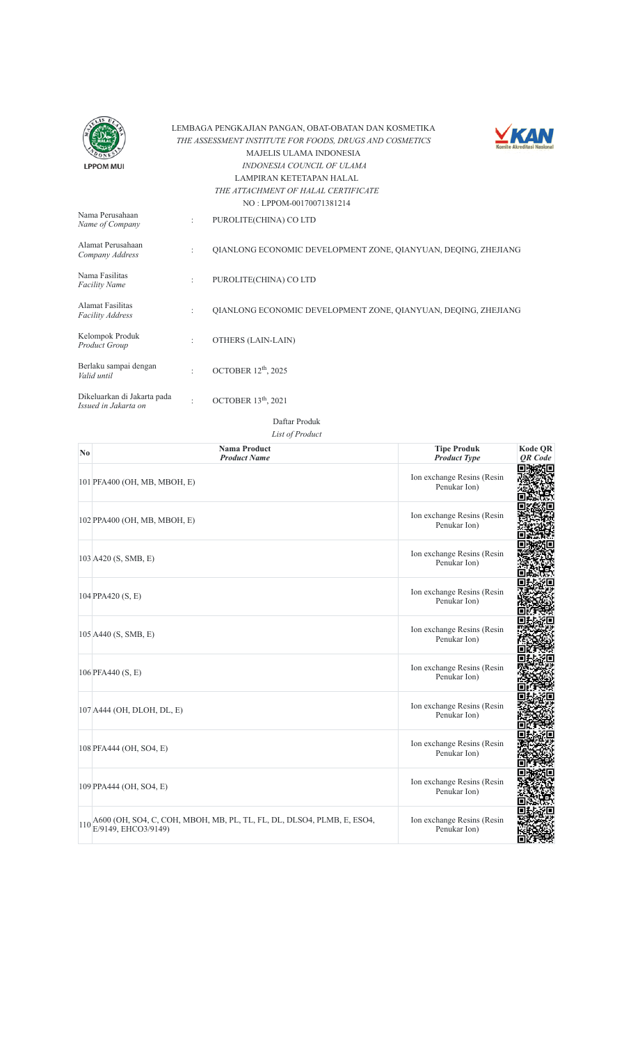



|                                                     |                      | $NO : LPPOM-00170071381214$                                    |
|-----------------------------------------------------|----------------------|----------------------------------------------------------------|
| Nama Perusahaan<br>Name of Company                  | ÷                    | PUROLITE(CHINA) CO LTD                                         |
| Alamat Perusahaan<br>Company Address                | $\ddot{\phantom{a}}$ | OIANLONG ECONOMIC DEVELOPMENT ZONE, OIANYUAN, DEOING, ZHEJIANG |
| Nama Fasilitas<br><b>Facility Name</b>              | ÷                    | PUROLITE(CHINA) CO LTD                                         |
| Alamat Fasilitas<br><b>Facility Address</b>         | $\ddot{\phantom{a}}$ | OIANLONG ECONOMIC DEVELOPMENT ZONE, OIANYUAN, DEOING, ZHEJIANG |
| Kelompok Produk<br>Product Group                    | $\ddot{\phantom{a}}$ | OTHERS (LAIN-LAIN)                                             |
| Berlaku sampai dengan<br>Valid until                | ٠                    | OCTOBER $12th$ , 2025                                          |
| Dikeluarkan di Jakarta pada<br>Issued in Jakarta on | ٠                    | OCTOBER $13th$ , 2021                                          |

| N <sub>0</sub> | <b>Nama Product</b><br><b>Product Name</b>                                                              | <b>Tipe Produk</b><br><b>Product Type</b>  | <b>Kode QR</b><br><b>OR</b> Code |
|----------------|---------------------------------------------------------------------------------------------------------|--------------------------------------------|----------------------------------|
|                | 101 PFA400 (OH, MB, MBOH, E)                                                                            | Ion exchange Resins (Resin<br>Penukar Ion) |                                  |
|                | 102 PPA400 (OH, MB, MBOH, E)                                                                            | Ion exchange Resins (Resin<br>Penukar Ion) |                                  |
|                | 103 A420 (S, SMB, E)                                                                                    | Ion exchange Resins (Resin<br>Penukar Ion) |                                  |
|                | 104 PPA420 (S, E)                                                                                       | Ion exchange Resins (Resin<br>Penukar Ion) |                                  |
|                | 105 A440 (S, SMB, E)                                                                                    | Ion exchange Resins (Resin<br>Penukar Ion) |                                  |
|                | 106 PFA440 (S, E)                                                                                       | Ion exchange Resins (Resin<br>Penukar Ion) |                                  |
|                | 107 A444 (OH, DLOH, DL, E)                                                                              | Ion exchange Resins (Resin<br>Penukar Ion) |                                  |
|                | 108 PFA444 (OH, SO4, E)                                                                                 | Ion exchange Resins (Resin<br>Penukar Ion) |                                  |
|                | 109 PPA444 (OH, SO4, E)                                                                                 | Ion exchange Resins (Resin<br>Penukar Ion) |                                  |
|                | $110\frac{\text{A}600}{\text{E}/9149}$ , EHCO3/9149)<br>MBOH, MB, PL, TL, FL, DL, DLSO4, PLMB, E, ESO4, | Ion exchange Resins (Resin<br>Penukar Ion) |                                  |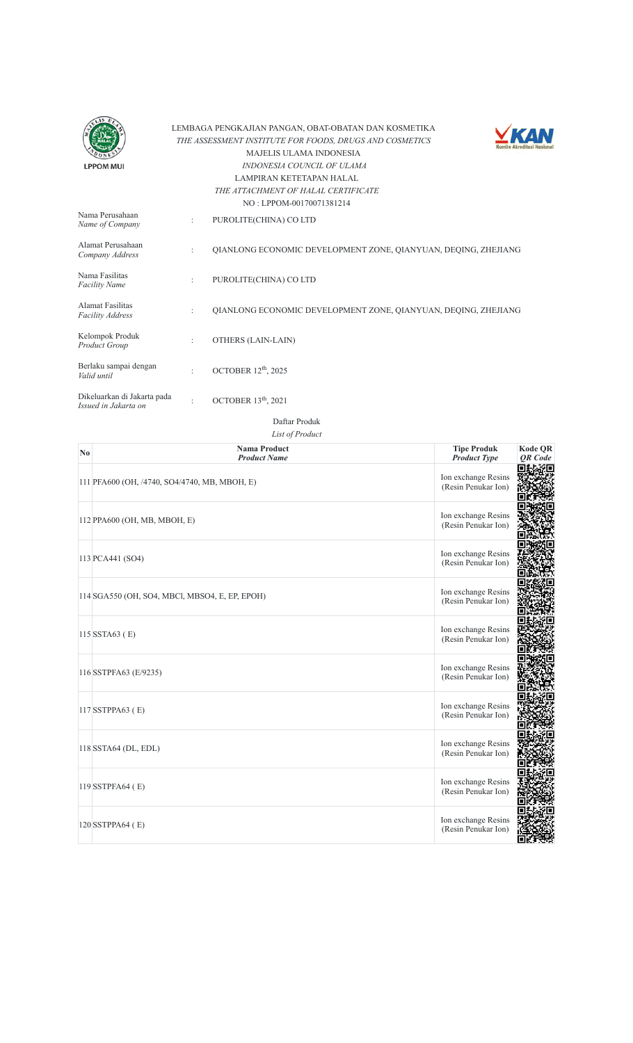



|                                                     |                      | $150.$ Let $1001/001/00/1301214$                               |
|-----------------------------------------------------|----------------------|----------------------------------------------------------------|
| Nama Perusahaan<br>Name of Company                  | ÷                    | PUROLITE(CHINA) CO LTD                                         |
| Alamat Perusahaan<br>Company Address                | ٠                    | OIANLONG ECONOMIC DEVELOPMENT ZONE, OIANYUAN, DEOING, ZHEJIANG |
| Nama Fasilitas<br><b>Facility Name</b>              | ÷                    | PUROLITE(CHINA) CO LTD                                         |
| Alamat Fasilitas<br><b>Facility Address</b>         | $\ddot{\phantom{a}}$ | OIANLONG ECONOMIC DEVELOPMENT ZONE, OIANYUAN, DEOING, ZHEJIANG |
| Kelompok Produk<br>Product Group                    | $\ddot{\phantom{a}}$ | OTHERS (LAIN-LAIN)                                             |
| Berlaku sampai dengan<br>Valid until                | ٠                    | OCTOBER 12 <sup>th</sup> , 2025                                |
| Dikeluarkan di Jakarta pada<br>Issued in Jakarta on | ٠                    | OCTOBER 13 <sup>th</sup> , 2021                                |

Daftar Produk

| $\mathbf{N}\mathbf{0}$ | <b>Nama Product</b><br><b>Product Name</b>     | <b>Tipe Produk</b><br><b>Product Type</b>  | <b>Kode QR</b><br><b>OR</b> Code |
|------------------------|------------------------------------------------|--------------------------------------------|----------------------------------|
|                        | 111 PFA600 (OH, /4740, SO4/4740, MB, MBOH, E)  | Ion exchange Resins<br>(Resin Penukar Ion) |                                  |
|                        | 112 PPA600 (OH, MB, MBOH, E)                   | Ion exchange Resins<br>(Resin Penukar Ion) |                                  |
|                        | 113 PCA441 (SO4)                               | Ion exchange Resins<br>(Resin Penukar Ion) |                                  |
|                        | 114 SGA550 (OH, SO4, MBCl, MBSO4, E, EP, EPOH) | Ion exchange Resins<br>(Resin Penukar Ion) |                                  |
|                        | 115 SSTA63 (E)                                 | Ion exchange Resins<br>(Resin Penukar Ion) |                                  |
|                        | 116 SSTPFA63 (E/9235)                          | Ion exchange Resins<br>(Resin Penukar Ion) |                                  |
|                        | 117 SSTPPA63 (E)                               | Ion exchange Resins<br>(Resin Penukar Ion) |                                  |
|                        | 118 SSTA64 (DL, EDL)                           | Ion exchange Resins<br>(Resin Penukar Ion) |                                  |
|                        | 119 SSTPFA64 (E)                               | Ion exchange Resins<br>(Resin Penukar Ion) |                                  |
|                        | 120 SSTPPA64 (E)                               | Ion exchange Resins<br>(Resin Penukar Ion) |                                  |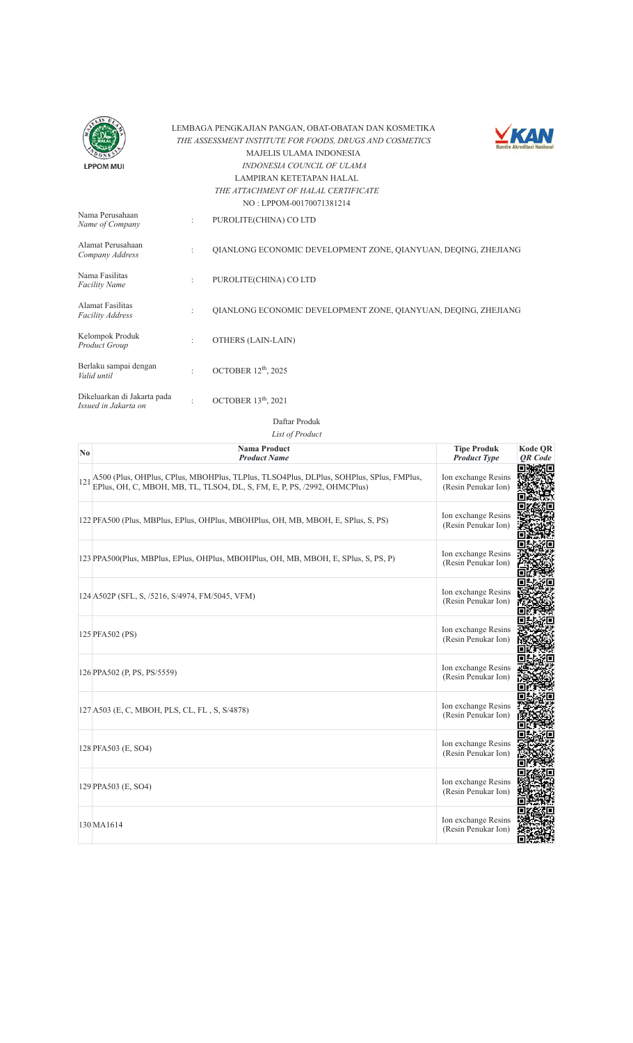



| Nama Perusahaan<br>Name of Company                  | $\ddot{\cdot}$       | PUROLITE(CHINA) CO LTD                                         |
|-----------------------------------------------------|----------------------|----------------------------------------------------------------|
| Alamat Perusahaan<br>Company Address                | $\ddot{\cdot}$       | OIANLONG ECONOMIC DEVELOPMENT ZONE, OIANYUAN, DEOING, ZHEJIANG |
| Nama Fasilitas<br><b>Facility Name</b>              | $\ddot{\phantom{a}}$ | PUROLITE(CHINA) CO LTD                                         |
| Alamat Fasilitas<br><b>Facility Address</b>         | ٠                    | OIANLONG ECONOMIC DEVELOPMENT ZONE, OIANYUAN, DEOING, ZHEJIANG |
| Kelompok Produk<br>Product Group                    | $\ddot{\phantom{0}}$ | OTHERS (LAIN-LAIN)                                             |
| Berlaku sampai dengan<br>Valid until                | ٠                    | OCTOBER $12th$ , 2025                                          |
| Dikeluarkan di Jakarta pada<br>Issued in Jakarta on |                      | OCTOBER 13 <sup>th</sup> , 2021                                |

Daftar Produk

| $\mathbf{N}\mathbf{0}$ | <b>Nama Product</b><br><b>Product Name</b>                                                                                                                          | <b>Tipe Produk</b><br><b>Product Type</b>  | <b>Kode QR</b><br><b>OR</b> Code |
|------------------------|---------------------------------------------------------------------------------------------------------------------------------------------------------------------|--------------------------------------------|----------------------------------|
| 121                    | A500 (Plus, OHPlus, CPlus, MBOHPlus, TLPlus, TLSO4Plus, DLPlus, SOHPlus, SPlus, FMPlus,<br>EPlus, OH, C, MBOH, MB, TL, TLSO4, DL, S, FM, E, P, PS, /2992, OHMCPlus) | Ion exchange Resins<br>(Resin Penukar Ion) |                                  |
|                        | 122 PFA500 (Plus, MBPlus, EPlus, OHPlus, MBOHPlus, OH, MB, MBOH, E, SPlus, S, PS)                                                                                   | Ion exchange Resins<br>(Resin Penukar Ion) |                                  |
|                        | 123 PPA500(Plus, MBPlus, EPlus, OHPlus, MBOHPlus, OH, MB, MBOH, E, SPlus, S, PS, P)                                                                                 | Ion exchange Resins<br>(Resin Penukar Ion) |                                  |
|                        | 124 A502P (SFL, S, /5216, S/4974, FM/5045, VFM)                                                                                                                     | Ion exchange Resins<br>(Resin Penukar Ion) |                                  |
|                        | 125 PFA502 (PS)                                                                                                                                                     | Ion exchange Resins<br>(Resin Penukar Ion) |                                  |
|                        | 126 PPA502 (P, PS, PS/5559)                                                                                                                                         | Ion exchange Resins<br>(Resin Penukar Ion) |                                  |
|                        | 127 A503 (E, C, MBOH, PLS, CL, FL, S, S/4878)                                                                                                                       | Ion exchange Resins<br>(Resin Penukar Ion) |                                  |
|                        | 128 PFA503 (E, SO4)                                                                                                                                                 | Ion exchange Resins<br>(Resin Penukar Ion) |                                  |
|                        | 129 PPA503 (E, SO4)                                                                                                                                                 | Ion exchange Resins<br>(Resin Penukar Ion) |                                  |
|                        | 130 MA1614                                                                                                                                                          | Ion exchange Resins<br>(Resin Penukar Ion) |                                  |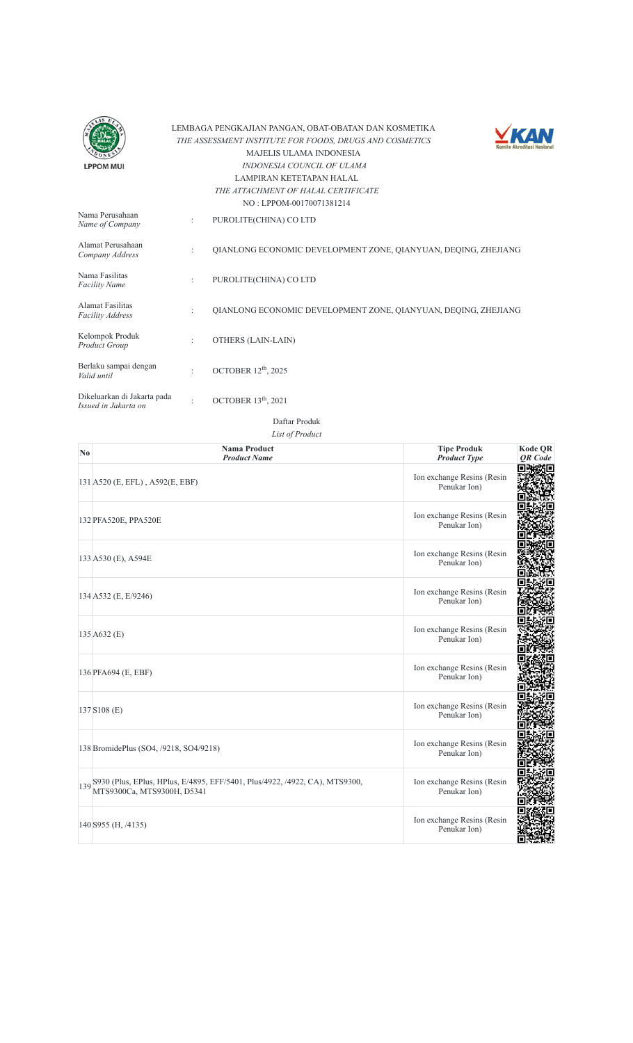



|                                                     |                      | NO : LPPOM-00170071381214                                      |
|-----------------------------------------------------|----------------------|----------------------------------------------------------------|
| Nama Perusahaan<br>Name of Company                  | ÷                    | PUROLITE(CHINA) CO LTD                                         |
| Alamat Perusahaan<br>Company Address                | $\ddot{\phantom{a}}$ | OIANLONG ECONOMIC DEVELOPMENT ZONE, OIANYUAN, DEOING, ZHEJIANG |
| Nama Fasilitas<br><b>Facility Name</b>              | $\ddot{\phantom{a}}$ | PUROLITE(CHINA) CO LTD                                         |
| Alamat Fasilitas<br><b>Facility Address</b>         | $\ddot{\phantom{a}}$ | OIANLONG ECONOMIC DEVELOPMENT ZONE, OIANYUAN, DEOING, ZHEJIANG |
| Kelompok Produk<br>Product Group                    | ٠                    | OTHERS (LAIN-LAIN)                                             |
| Berlaku sampai dengan<br>Valid until                | $\bullet$            | OCTOBER 12 <sup>th</sup> , 2025                                |
| Dikeluarkan di Jakarta pada<br>Issued in Jakarta on | ٠                    | OCTOBER $13th$ , 2021                                          |

Daftar Produk

| $\mathbf{N}\mathbf{0}$ | <b>Nama Product</b><br><b>Product Name</b>                                                                    | <b>Tipe Produk</b><br><b>Product Type</b>  | <b>Kode QR</b><br><b>OR</b> Code |
|------------------------|---------------------------------------------------------------------------------------------------------------|--------------------------------------------|----------------------------------|
|                        | 131 A520 (E, EFL), A592(E, EBF)                                                                               | Ion exchange Resins (Resin<br>Penukar Ion) |                                  |
|                        | 132 PFA520E, PPA520E                                                                                          | Ion exchange Resins (Resin<br>Penukar Ion) |                                  |
|                        | 133 A530 (E), A594E                                                                                           | Ion exchange Resins (Resin<br>Penukar Ion) |                                  |
|                        | 134 A532 (E, E/9246)                                                                                          | Ion exchange Resins (Resin<br>Penukar Ion) |                                  |
|                        | 135 A632 (E)                                                                                                  | Ion exchange Resins (Resin<br>Penukar Ion) |                                  |
|                        | 136 PFA694 (E, EBF)                                                                                           | Ion exchange Resins (Resin<br>Penukar Ion) |                                  |
|                        | 137 S108 (E)                                                                                                  | Ion exchange Resins (Resin<br>Penukar Ion) |                                  |
|                        | 138 BromidePlus (SO4, /9218, SO4/9218)                                                                        | Ion exchange Resins (Resin<br>Penukar Ion) |                                  |
|                        | 139 8930 (Plus, EPlus, HPlus, E/4895, EFF/5401, Plus/4922, /4922, CA), MTS9300,<br>MTS9300Ca, MTS9300H, D5341 | Ion exchange Resins (Resin<br>Penukar Ion) |                                  |
|                        | 140 \$955 (H, /4135)                                                                                          | Ion exchange Resins (Resin<br>Penukar Ion) |                                  |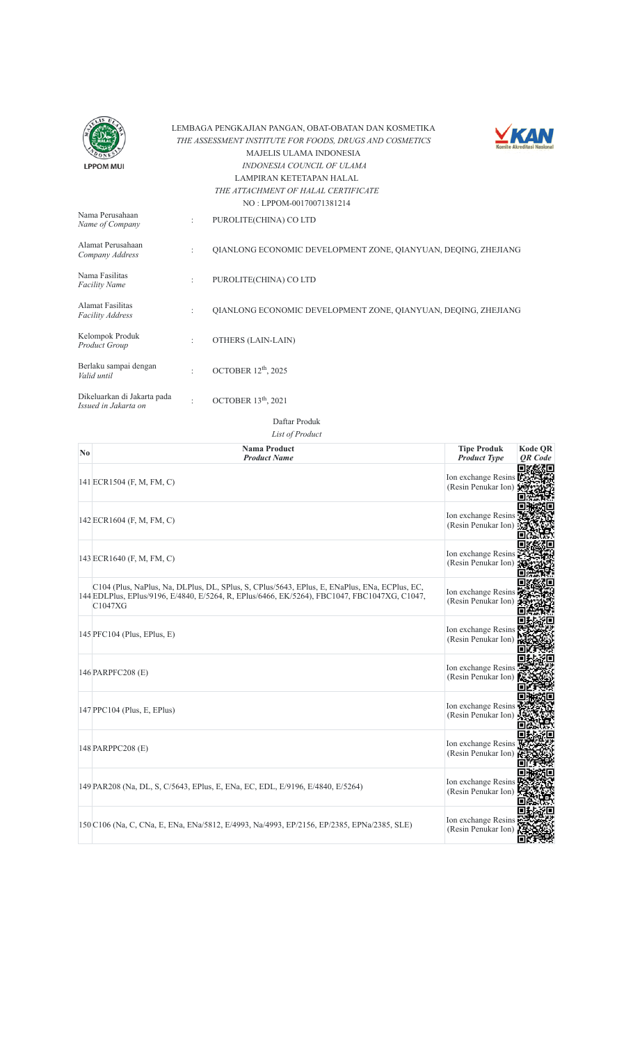



| Nama Perusahaan<br>Name of Company                  | ÷              | PUROLITE(CHINA) CO LTD                                         |
|-----------------------------------------------------|----------------|----------------------------------------------------------------|
| Alamat Perusahaan<br>Company Address                | ÷              | OIANLONG ECONOMIC DEVELOPMENT ZONE, OIANYUAN, DEOING, ZHEJIANG |
| Nama Fasilitas<br><b>Facility Name</b>              | ÷              | PUROLITE(CHINA) CO LTD                                         |
| Alamat Fasilitas<br><b>Facility Address</b>         | ÷              | OIANLONG ECONOMIC DEVELOPMENT ZONE, OIANYUAN, DEOING, ZHEJIANG |
| Kelompok Produk<br>Product Group                    | ÷              | OTHERS (LAIN-LAIN)                                             |
| Berlaku sampai dengan<br>Valid until                | $\ddot{\cdot}$ | OCTOBER $12th$ , 2025                                          |
| Dikeluarkan di Jakarta pada<br>Issued in Jakarta on | ٠              | OCTOBER $13th$ , 2021                                          |

Daftar Produk

| No. | <b>Nama Product</b><br><b>Product Name</b>                                                                                                                                                               | <b>Tipe Produk</b><br><b>Product Type</b>  | <b>Kode QR</b><br>QR Code |
|-----|----------------------------------------------------------------------------------------------------------------------------------------------------------------------------------------------------------|--------------------------------------------|---------------------------|
|     | 141 ECR1504 (F, M, FM, C)                                                                                                                                                                                | Ion exchange Resins<br>(Resin Penukar Ion) |                           |
|     | 142 ECR1604 (F, M, FM, C)                                                                                                                                                                                | Ion exchange Resins<br>(Resin Penukar Ion) |                           |
|     | 143 ECR1640 (F, M, FM, C)                                                                                                                                                                                | Ion exchange Resins<br>(Resin Penukar Ion) |                           |
|     | C104 (Plus, NaPlus, Na, DLPlus, DL, SPlus, S, CPlus/5643, EPlus, E, ENaPlus, ENa, ECPlus, EC,<br>144 EDLPlus, EPlus/9196, E/4840, E/5264, R, EPlus/6466, EK/5264), FBC1047, FBC1047XG, C1047,<br>C1047XG | Ion exchange Resins<br>(Resin Penukar Ion) |                           |
|     | 145 PFC104 (Plus, EPlus, E)                                                                                                                                                                              | Ion exchange Resins<br>(Resin Penukar Ion) |                           |
|     | 146 PARPFC208 (E)                                                                                                                                                                                        | Ion exchange Resins<br>(Resin Penukar Ion) |                           |
|     | 147 PPC104 (Plus, E, EPlus)                                                                                                                                                                              | Ion exchange Resins<br>(Resin Penukar Ion  |                           |
|     | 148 PARPPC208 (E)                                                                                                                                                                                        | Ion exchange Resins<br>(Resin Penukar Ion) |                           |
|     | 149 PAR208 (Na, DL, S, C/5643, EPlus, E, ENa, EC, EDL, E/9196, E/4840, E/5264)                                                                                                                           | Ion exchange Resins<br>(Resin Penukar Ion) |                           |
|     | 150 C106 (Na, C, CNa, E, ENa, ENa/5812, E/4993, Na/4993, EP/2156, EP/2385, EPNa/2385, SLE)                                                                                                               | Ion exchange Resins<br>(Resin Penukar Ion  |                           |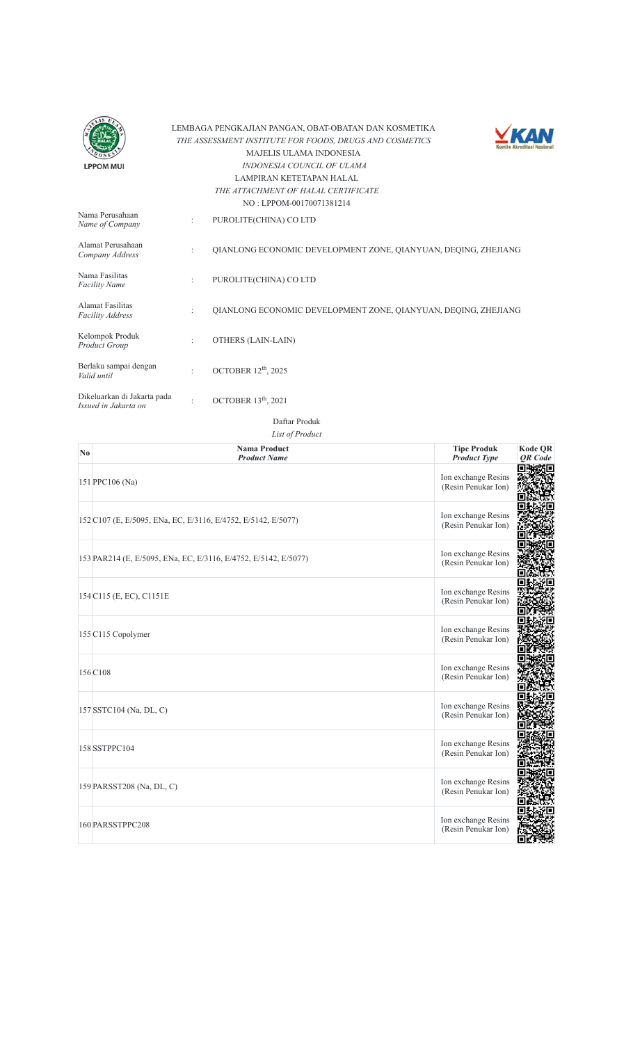



|                                                     |                      | 190.1110191700170071301217                                     |
|-----------------------------------------------------|----------------------|----------------------------------------------------------------|
| Nama Perusahaan<br>Name of Company                  | ÷                    | PUROLITE(CHINA) CO LTD                                         |
| Alamat Perusahaan<br>Company Address                | $\ddot{\phantom{a}}$ | OIANLONG ECONOMIC DEVELOPMENT ZONE, OIANYUAN, DEOING, ZHEJIANG |
| Nama Fasilitas<br><b>Facility Name</b>              | $\ddot{\phantom{a}}$ | PUROLITE(CHINA) CO LTD                                         |
| <b>Alamat Fasilitas</b><br><b>Facility Address</b>  | $\ddot{\phantom{a}}$ | OIANLONG ECONOMIC DEVELOPMENT ZONE, OIANYUAN, DEOING, ZHEJIANG |
| Kelompok Produk<br>Product Group                    | $\ddot{\cdot}$       | OTHERS (LAIN-LAIN)                                             |
| Berlaku sampai dengan<br>Valid until                | $\ddot{\cdot}$       | OCTOBER $12th$ , 2025                                          |
| Dikeluarkan di Jakarta pada<br>Issued in Jakarta on | $\bullet$            | OCTOBER $13th$ , 2021                                          |

Daftar Produk

| No. | <b>Nama Product</b><br><b>Product Name</b>                      | <b>Tipe Produk</b><br><b>Product Type</b>  | Kode QR<br>QR Code |
|-----|-----------------------------------------------------------------|--------------------------------------------|--------------------|
|     | 151 PPC106 (Na)                                                 | Ion exchange Resins<br>(Resin Penukar Ion) |                    |
|     | 152 C107 (E, E/5095, ENa, EC, E/3116, E/4752, E/5142, E/5077)   | Ion exchange Resins<br>(Resin Penukar Ion) |                    |
|     | 153 PAR214 (E, E/5095, ENa, EC, E/3116, E/4752, E/5142, E/5077) | Ion exchange Resins<br>(Resin Penukar Ion) |                    |
|     | 154 C115 (E, EC), C1151E                                        | Ion exchange Resins<br>(Resin Penukar Ion) |                    |
|     | 155 C115 Copolymer                                              | Ion exchange Resins<br>(Resin Penukar Ion) |                    |
|     | 156 C108                                                        | Ion exchange Resins<br>(Resin Penukar Ion) |                    |
|     | 157 SSTC104 (Na, DL, C)                                         | Ion exchange Resins<br>(Resin Penukar Ion) |                    |
|     | 158 SSTPPC104                                                   | Ion exchange Resins<br>(Resin Penukar Ion) |                    |
|     | 159 PARSST208 (Na, DL, C)                                       | Ion exchange Resins<br>(Resin Penukar Ion) |                    |
|     | 160 PARSSTPPC208                                                | Ion exchange Resins<br>(Resin Penukar Ion) |                    |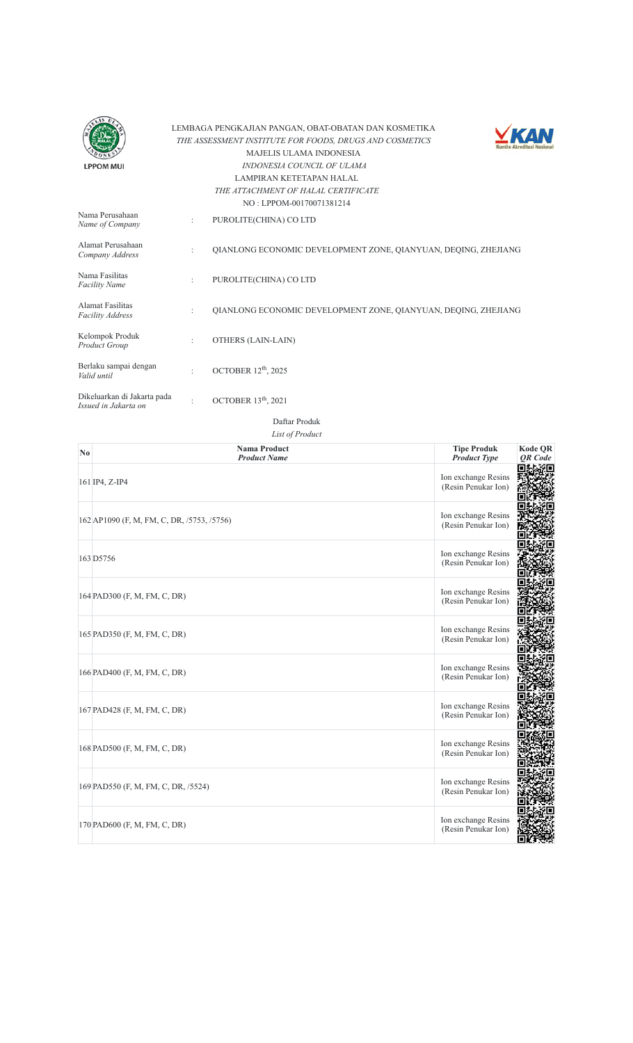



| Nama Perusahaan<br>Name of Company                  | $\ddot{\cdot}$       | $180.$ LET ONE 001/00/1381214<br>PUROLITE(CHINA) CO LTD        |
|-----------------------------------------------------|----------------------|----------------------------------------------------------------|
| Alamat Perusahaan<br>Company Address                | ÷                    | OIANLONG ECONOMIC DEVELOPMENT ZONE, OIANYUAN, DEOING, ZHEJIANG |
| Nama Fasilitas<br><b>Facility Name</b>              | $\ddot{\phantom{a}}$ | PUROLITE(CHINA) CO LTD                                         |
| Alamat Fasilitas<br><b>Facility Address</b>         | $\ddot{\phantom{a}}$ | OIANLONG ECONOMIC DEVELOPMENT ZONE, OIANYUAN, DEOING, ZHEJIANG |
| Kelompok Produk<br>Product Group                    | $\ddot{\phantom{a}}$ | OTHERS (LAIN-LAIN)                                             |
| Berlaku sampai dengan<br>Valid until                | $\ddot{\cdot}$       | OCTOBER $12th$ , 2025                                          |
| Dikeluarkan di Jakarta pada<br>Issued in Jakarta on |                      | OCTOBER $13th$ , 2021                                          |

| $\mathbf{N}\mathbf{0}$ | <b>Nama Product</b><br><b>Product Name</b> | <b>Tipe Produk</b><br><b>Product Type</b>  | <b>Kode QR</b><br><b>OR</b> Code |
|------------------------|--------------------------------------------|--------------------------------------------|----------------------------------|
|                        | 161 IP4, Z-IP4                             | Ion exchange Resins<br>(Resin Penukar Ion) | Яп∥                              |
|                        | 162 AP1090 (F, M, FM, C, DR, /5753, /5756) | Ion exchange Resins<br>(Resin Penukar Ion) |                                  |
|                        | 163 D5756                                  | Ion exchange Resins<br>(Resin Penukar Ion) |                                  |
|                        | 164 PAD300 (F, M, FM, C, DR)               | Ion exchange Resins<br>(Resin Penukar Ion) |                                  |
|                        | 165 PAD350 (F, M, FM, C, DR)               | Ion exchange Resins<br>(Resin Penukar Ion) |                                  |
|                        | 166 PAD400 (F, M, FM, C, DR)               | Ion exchange Resins<br>(Resin Penukar Ion) |                                  |
|                        | 167 PAD428 (F, M, FM, C, DR)               | Ion exchange Resins<br>(Resin Penukar Ion) |                                  |
|                        | 168 PAD500 (F, M, FM, C, DR)               | Ion exchange Resins<br>(Resin Penukar Ion) |                                  |
|                        | 169 PAD550 (F, M, FM, C, DR, /5524)        | Ion exchange Resins<br>(Resin Penukar Ion) |                                  |
|                        | 170 PAD600 (F, M, FM, C, DR)               | Ion exchange Resins<br>(Resin Penukar Ion) |                                  |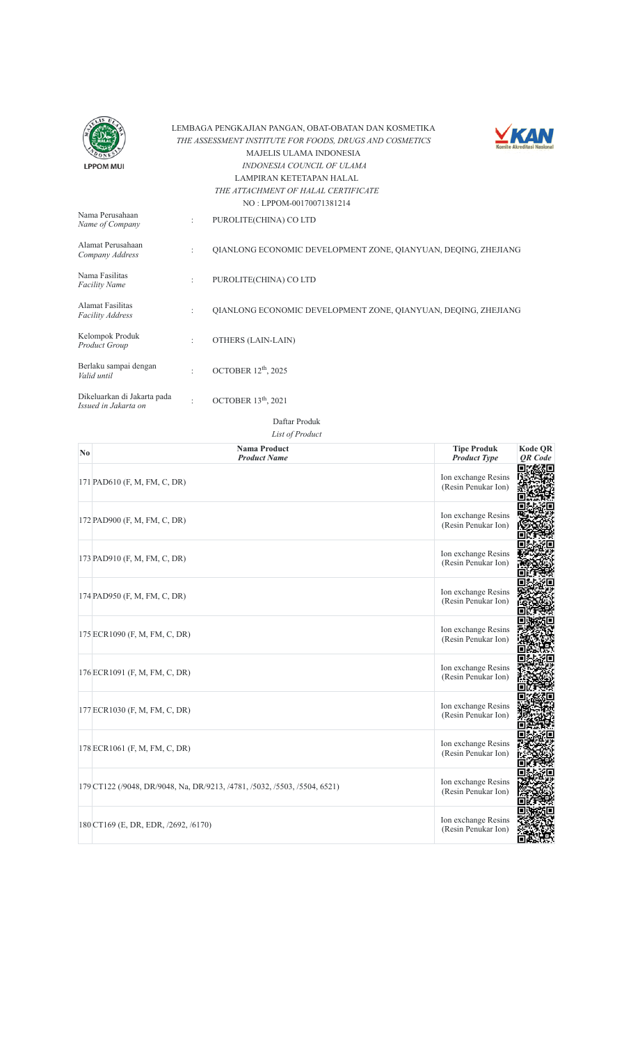



| Nama Perusahaan<br>Name of Company                  | ÷         | PUROLITE(CHINA) CO LTD                                         |
|-----------------------------------------------------|-----------|----------------------------------------------------------------|
| Alamat Perusahaan<br>Company Address                | ÷         | OIANLONG ECONOMIC DEVELOPMENT ZONE, OIANYUAN, DEOING, ZHEJIANG |
| Nama Fasilitas<br><b>Facility Name</b>              | ÷         | PUROLITE(CHINA) CO LTD                                         |
| Alamat Fasilitas<br><b>Facility Address</b>         | $\bullet$ | OIANLONG ECONOMIC DEVELOPMENT ZONE, OIANYUAN, DEOING, ZHEJIANG |
| Kelompok Produk<br>Product Group                    | ÷         | OTHERS (LAIN-LAIN)                                             |
| Berlaku sampai dengan<br>Valid until                | $\bullet$ | OCTOBER $12th$ , 2025                                          |
| Dikeluarkan di Jakarta pada<br>Issued in Jakarta on | ٠         | OCTOBER $13th$ , 2021                                          |

| N <sub>0</sub> | <b>Nama Product</b><br><b>Product Name</b>                                | <b>Tipe Produk</b><br><b>Product Type</b>  | <b>Kode QR</b><br><b>OR</b> Code |
|----------------|---------------------------------------------------------------------------|--------------------------------------------|----------------------------------|
|                | 171 PAD610 (F, M, FM, C, DR)                                              | Ion exchange Resins<br>(Resin Penukar Ion) |                                  |
|                | 172 PAD900 (F, M, FM, C, DR)                                              | Ion exchange Resins<br>(Resin Penukar Ion) |                                  |
|                | 173 PAD910 (F, M, FM, C, DR)                                              | Ion exchange Resins<br>(Resin Penukar Ion) |                                  |
|                | 174 PAD950 (F, M, FM, C, DR)                                              | Ion exchange Resins<br>(Resin Penukar Ion) |                                  |
|                | 175 ECR1090 (F, M, FM, C, DR)                                             | Ion exchange Resins<br>(Resin Penukar Ion) |                                  |
|                | 176 ECR1091 (F, M, FM, C, DR)                                             | Ion exchange Resins<br>(Resin Penukar Ion) |                                  |
|                | 177 ECR1030 (F, M, FM, C, DR)                                             | Ion exchange Resins<br>(Resin Penukar Ion) |                                  |
|                | 178 ECR1061 (F, M, FM, C, DR)                                             | Ion exchange Resins<br>(Resin Penukar Ion) |                                  |
|                | 179 CT122 (/9048, DR/9048, Na, DR/9213, /4781, /5032, /5503, /5504, 6521) | Ion exchange Resins<br>(Resin Penukar Ion) |                                  |
|                | 180 CT169 (E, DR, EDR, /2692, /6170)                                      | Ion exchange Resins<br>(Resin Penukar Ion) |                                  |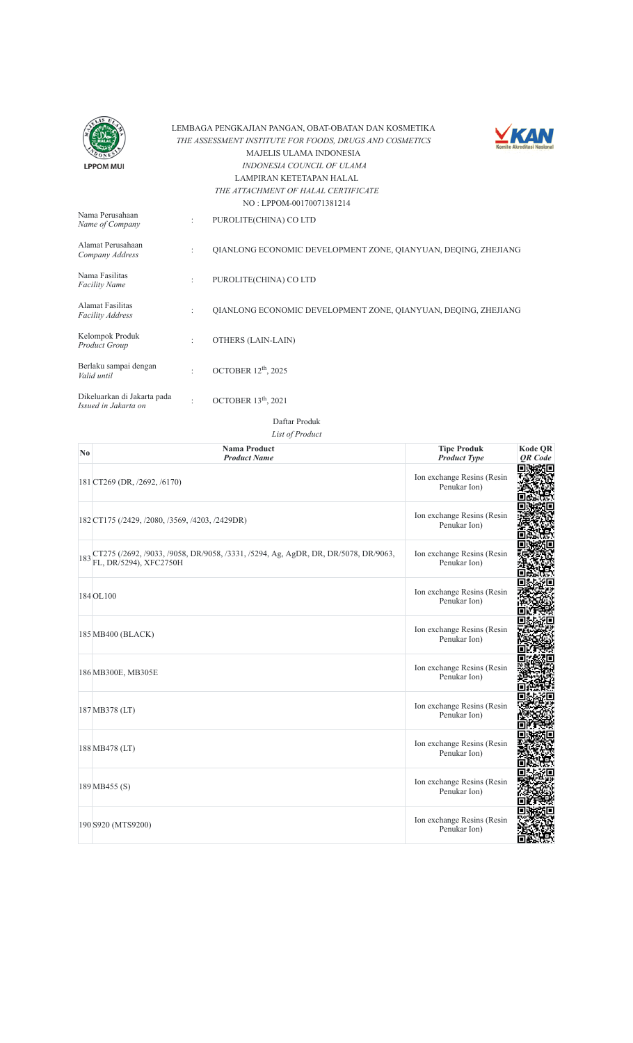



|                                                     |                      | NO: LPPOM-00170071381214                                       |
|-----------------------------------------------------|----------------------|----------------------------------------------------------------|
| Nama Perusahaan<br>Name of Company                  | ÷                    | PUROLITE(CHINA) CO LTD                                         |
| Alamat Perusahaan<br>Company Address                | ÷                    | OIANLONG ECONOMIC DEVELOPMENT ZONE, QIANYUAN, DEQING, ZHEJIANG |
| Nama Fasilitas<br><b>Facility Name</b>              | ÷                    | PUROLITE(CHINA) CO LTD                                         |
| Alamat Fasilitas<br><b>Facility Address</b>         | $\ddot{\phantom{a}}$ | OIANLONG ECONOMIC DEVELOPMENT ZONE, OIANYUAN, DEOING, ZHEJIANG |
| Kelompok Produk<br>Product Group                    | $\ddot{\phantom{a}}$ | OTHERS (LAIN-LAIN)                                             |
| Berlaku sampai dengan<br>Valid until                | ٠                    | OCTOBER $12th$ , 2025                                          |
| Dikeluarkan di Jakarta pada<br>Issued in Jakarta on | ٠                    | OCTOBER $13th$ , 2021                                          |

Daftar Produk

| N <sub>0</sub> | <b>Nama Product</b><br><b>Product Name</b>                                                                       | <b>Tipe Produk</b><br><b>Product Type</b>  | <b>Kode QR</b><br><b>OR</b> Code |
|----------------|------------------------------------------------------------------------------------------------------------------|--------------------------------------------|----------------------------------|
|                | 181 CT269 (DR, /2692, /6170)                                                                                     | Ion exchange Resins (Resin<br>Penukar Ion) |                                  |
|                | 182 CT175 (/2429, /2080, /3569, /4203, /2429DR)                                                                  | Ion exchange Resins (Resin<br>Penukar Ion) |                                  |
|                | 183 CT275 (/2692, /9033, /9058, DR/9058, /3331, /5294, Ag, AgDR, DR, DR/5078, DR/9063,<br>FL, DR/5294), XFC2750H | Ion exchange Resins (Resin<br>Penukar Ion) |                                  |
|                | 184 OL100                                                                                                        | Ion exchange Resins (Resin<br>Penukar Ion) |                                  |
|                | 185 MB400 (BLACK)                                                                                                | Ion exchange Resins (Resin<br>Penukar Ion) |                                  |
|                | 186 MB300E, MB305E                                                                                               | Ion exchange Resins (Resin<br>Penukar Ion) |                                  |
|                | 187 MB378 (LT)                                                                                                   | Ion exchange Resins (Resin<br>Penukar Ion) |                                  |
|                | 188 MB478 (LT)                                                                                                   | Ion exchange Resins (Resin<br>Penukar Ion) |                                  |
|                | 189 MB455 (S)                                                                                                    | Ion exchange Resins (Resin<br>Penukar Ion) |                                  |
|                | 190 S920 (MTS9200)                                                                                               | Ion exchange Resins (Resin<br>Penukar Ion) |                                  |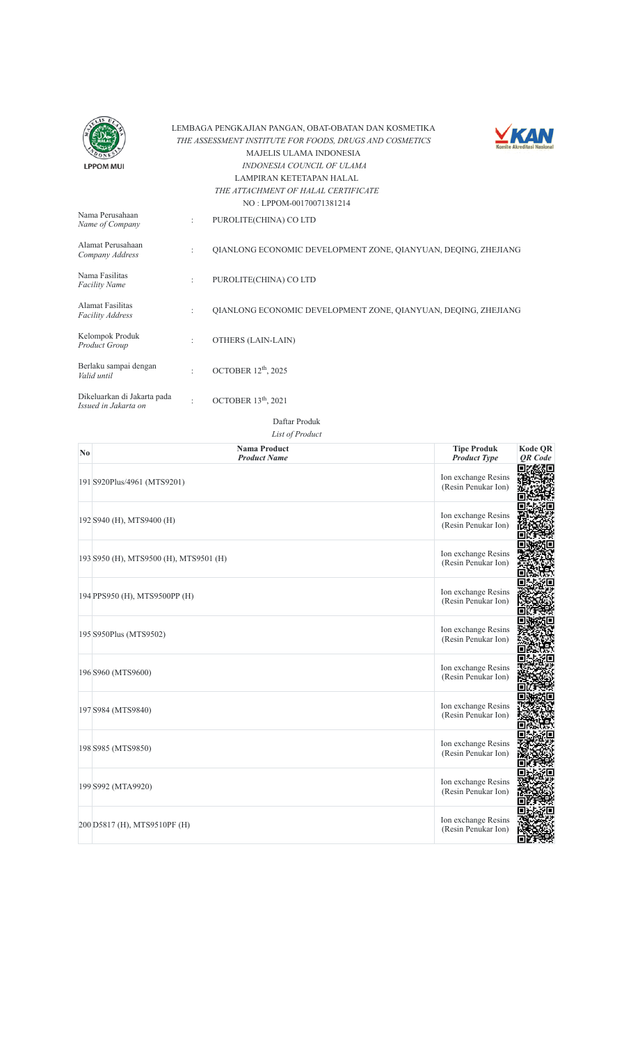



|                                                     |                      | $180.$ LET ONE 001/00/1361214                                  |
|-----------------------------------------------------|----------------------|----------------------------------------------------------------|
| Nama Perusahaan<br>Name of Company                  | ÷                    | PUROLITE(CHINA) CO LTD                                         |
| Alamat Perusahaan<br>Company Address                | $\ddot{\phantom{a}}$ | OIANLONG ECONOMIC DEVELOPMENT ZONE, OIANYUAN, DEOING, ZHEJIANG |
| Nama Fasilitas<br><b>Facility Name</b>              | $\ddot{\phantom{a}}$ | PUROLITE(CHINA) CO LTD                                         |
| Alamat Fasilitas<br><b>Facility Address</b>         | $\ddot{\phantom{a}}$ | OIANLONG ECONOMIC DEVELOPMENT ZONE, OIANYUAN, DEOING, ZHEJIANG |
| Kelompok Produk<br>Product Group                    | $\ddot{\phantom{a}}$ | OTHERS (LAIN-LAIN)                                             |
| Berlaku sampai dengan<br>Valid until                | $\bullet$            | OCTOBER 12 <sup>th</sup> , 2025                                |
| Dikeluarkan di Jakarta pada<br>Issued in Jakarta on | ٠                    | OCTOBER 13 <sup>th</sup> , 2021                                |

| ıa Product |  |
|------------|--|
| duct Name  |  |

| N <sub>0</sub> | <b>Nama Product</b><br><b>Product Name</b> | <b>Tipe Produk</b><br><b>Product Type</b>  | <b>Kode QR</b><br><b>OR</b> Code |
|----------------|--------------------------------------------|--------------------------------------------|----------------------------------|
|                | 191 S920Plus/4961 (MTS9201)                | Ion exchange Resins<br>(Resin Penukar Ion) |                                  |
|                | 192 S940 (H), MTS9400 (H)                  | Ion exchange Resins<br>(Resin Penukar Ion) |                                  |
|                | 193 S950 (H), MTS9500 (H), MTS9501 (H)     | Ion exchange Resins<br>(Resin Penukar Ion) |                                  |
|                | 194 PPS950 (H), MTS9500PP (H)              | Ion exchange Resins<br>(Resin Penukar Ion) |                                  |
|                | 195 S950Plus (MTS9502)                     | Ion exchange Resins<br>(Resin Penukar Ion) |                                  |
|                | 196 S960 (MTS9600)                         | Ion exchange Resins<br>(Resin Penukar Ion) |                                  |
|                | 197 S984 (MTS9840)                         | Ion exchange Resins<br>(Resin Penukar Ion) |                                  |
|                | 198 S985 (MTS9850)                         | Ion exchange Resins<br>(Resin Penukar Ion) |                                  |
|                | 199 S992 (MTA9920)                         | Ion exchange Resins<br>(Resin Penukar Ion) |                                  |
|                | 200 D5817 (H), MTS9510PF (H)               | Ion exchange Resins<br>(Resin Penukar Ion) |                                  |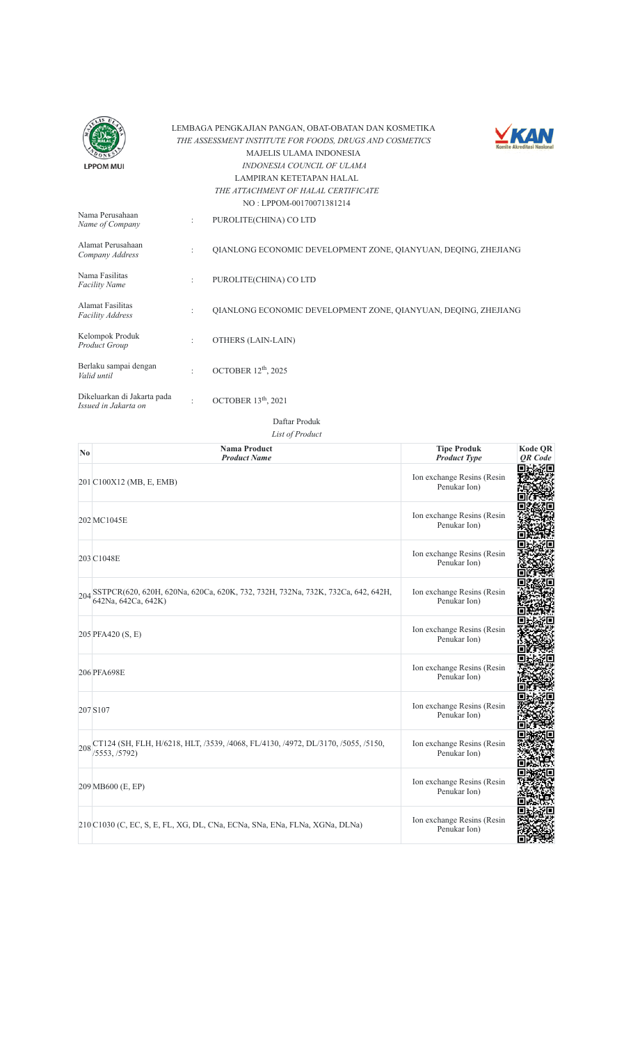



|                                                     |                      | NO: LPPOM-00170071381214                                       |
|-----------------------------------------------------|----------------------|----------------------------------------------------------------|
| Nama Perusahaan<br>Name of Company                  | ÷                    | PUROLITE(CHINA) CO LTD                                         |
| Alamat Perusahaan<br>Company Address                | $\bullet$            | QIANLONG ECONOMIC DEVELOPMENT ZONE, QIANYUAN, DEQING, ZHEJIANG |
| Nama Fasilitas<br><b>Facility Name</b>              | ÷                    | PUROLITE(CHINA) CO LTD                                         |
| Alamat Fasilitas<br><b>Facility Address</b>         | $\ddot{\cdot}$       | OIANLONG ECONOMIC DEVELOPMENT ZONE, OIANYUAN, DEOING, ZHEJIANG |
| Kelompok Produk<br>Product Group                    | $\ddot{\phantom{a}}$ | OTHERS (LAIN-LAIN)                                             |
| Berlaku sampai dengan<br>Valid until                | $\ddot{\phantom{a}}$ | OCTOBER 12 <sup>th</sup> , 2025                                |
| Dikeluarkan di Jakarta pada<br>Issued in Jakarta on | ٠                    | OCTOBER $13th$ , 2021                                          |

| N <sub>0</sub> | <b>Nama Product</b><br><b>Product Name</b>                                                                 | <b>Tipe Produk</b><br><b>Product Type</b>  | <b>Kode QR</b><br><b>OR</b> Code |
|----------------|------------------------------------------------------------------------------------------------------------|--------------------------------------------|----------------------------------|
|                | 201 C100X12 (MB, E, EMB)                                                                                   | Ion exchange Resins (Resin<br>Penukar Ion) |                                  |
|                | 202 MC1045E                                                                                                | Ion exchange Resins (Resin<br>Penukar Ion) |                                  |
|                | 203 C1048E                                                                                                 | Ion exchange Resins (Resin<br>Penukar Ion) |                                  |
|                | 204 SSTPCR(620, 620H, 620Na, 620Ca, 620K, 732, 732H, 732Na, 732K, 732Ca, 642, 642H,<br>642Na, 642Ca, 642K) | Ion exchange Resins (Resin<br>Penukar Ion) |                                  |
|                | 205 PFA420 (S, E)                                                                                          | Ion exchange Resins (Resin<br>Penukar Ion) |                                  |
|                | 206 PFA698E                                                                                                | Ion exchange Resins (Resin<br>Penukar Ion) |                                  |
|                | 207 S107                                                                                                   | Ion exchange Resins (Resin<br>Penukar Ion) |                                  |
|                | 208 CT124 (SH, FLH, H/6218, HLT, /3539, /4068, FL/4130, /4972, DL/3170, /5055, /5150,<br>/5553, /5792)     | Ion exchange Resins (Resin<br>Penukar Ion) |                                  |
|                | 209 MB600 (E, EP)                                                                                          | Ion exchange Resins (Resin<br>Penukar Ion) |                                  |
|                | 210 C1030 (C, EC, S, E, FL, XG, DL, CNa, ECNa, SNa, ENa, FLNa, XGNa, DLNa)                                 | Ion exchange Resins (Resin<br>Penukar Ion) |                                  |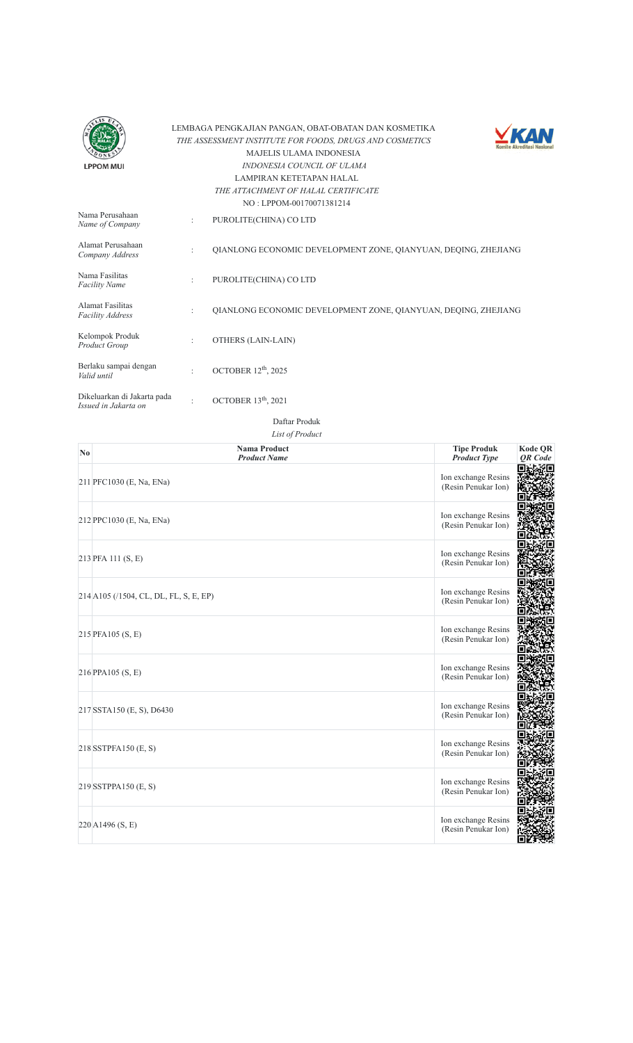



|                                                     |                | $110.1$ $111.01$ $100.100$                                     |
|-----------------------------------------------------|----------------|----------------------------------------------------------------|
| Nama Perusahaan<br>Name of Company                  | ÷              | PUROLITE(CHINA) CO LTD                                         |
| Alamat Perusahaan<br>Company Address                | ÷              | OIANLONG ECONOMIC DEVELOPMENT ZONE, OIANYUAN, DEOING, ZHEJIANG |
| Nama Fasilitas<br><b>Facility Name</b>              | $\ddot{\cdot}$ | PUROLITE(CHINA) CO LTD                                         |
| Alamat Fasilitas<br><b>Facility Address</b>         | ÷              | OIANLONG ECONOMIC DEVELOPMENT ZONE, OIANYUAN, DEOING, ZHEJIANG |
| Kelompok Produk<br>Product Group                    | ÷              | OTHERS (LAIN-LAIN)                                             |
| Berlaku sampai dengan<br>Valid until                | $\bullet$      | OCTOBER 12 <sup>th</sup> , 2025                                |
| Dikeluarkan di Jakarta pada<br>Issued in Jakarta on | ٠              | OCTOBER $13th$ , 2021                                          |

| N <sub>0</sub> | <b>Nama Product</b><br><b>Product Name</b> | <b>Tipe Produk</b><br><b>Product Type</b>  | <b>Kode QR</b><br><b>OR</b> Code |
|----------------|--------------------------------------------|--------------------------------------------|----------------------------------|
|                | 211 PFC1030 (E, Na, ENa)                   | Ion exchange Resins<br>(Resin Penukar Ion) |                                  |
|                | 212 PPC1030 (E, Na, ENa)                   | Ion exchange Resins<br>(Resin Penukar Ion) |                                  |
|                | 213 PFA 111 (S, E)                         | Ion exchange Resins<br>(Resin Penukar Ion) |                                  |
|                | 214 A105 (/1504, CL, DL, FL, S, E, EP)     | Ion exchange Resins<br>(Resin Penukar Ion) |                                  |
|                | 215 PFA105 (S, E)                          | Ion exchange Resins<br>(Resin Penukar Ion) |                                  |
|                | 216 PPA105 (S, E)                          | Ion exchange Resins<br>(Resin Penukar Ion) |                                  |
|                | 217 SSTA150 (E, S), D6430                  | Ion exchange Resins<br>(Resin Penukar Ion) |                                  |
|                | 218 SSTPFA150 (E, S)                       | Ion exchange Resins<br>(Resin Penukar Ion) |                                  |
|                | 219 SSTPPA150 (E, S)                       | Ion exchange Resins<br>(Resin Penukar Ion) |                                  |
|                | 220 A1496 (S, E)                           | Ion exchange Resins<br>(Resin Penukar Ion) |                                  |